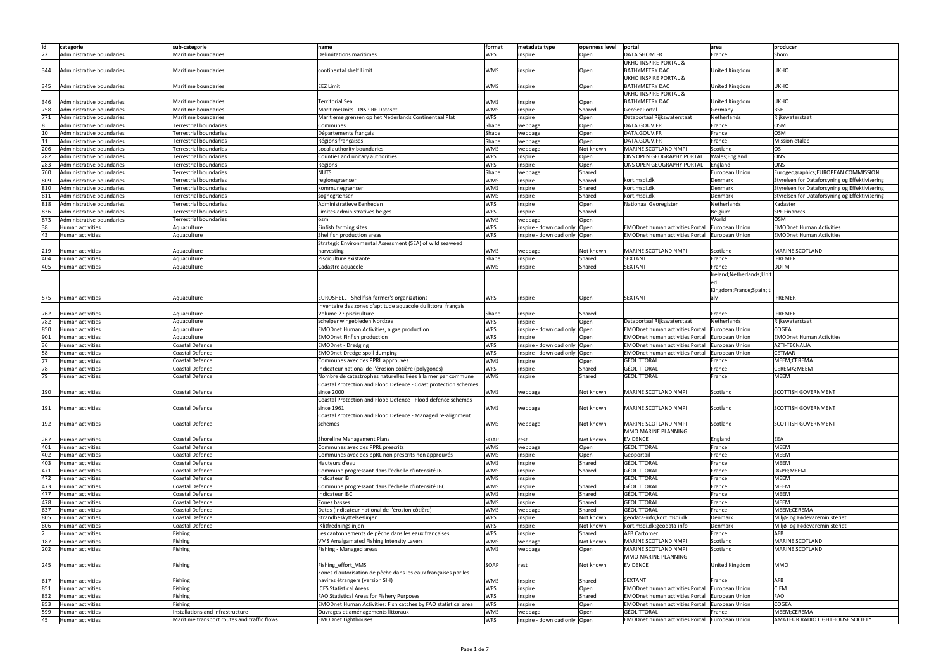| id  | categorie                 | sub-categorie                               | name                                                            | format     | metadata type                  | openness level | portal                                 | area                       | producer                                       |
|-----|---------------------------|---------------------------------------------|-----------------------------------------------------------------|------------|--------------------------------|----------------|----------------------------------------|----------------------------|------------------------------------------------|
| 22  | Administrative boundaries | Maritime boundaries                         | Delimitations maritimes                                         | <b>WFS</b> | inspire                        | Open           | DATA.SHOM.FR                           | France                     | Shom                                           |
|     |                           |                                             |                                                                 |            |                                |                | <b>UKHO INSPIRE PORTAL &amp;</b>       |                            |                                                |
|     |                           |                                             |                                                                 |            |                                |                |                                        |                            |                                                |
| 344 | Administrative boundaries | Maritime boundaries                         | continental shelf Limit                                         | <b>WMS</b> | inspire                        | Open           | <b>BATHYMETRY DAC</b>                  | United Kingdom             | <b>UKHO</b>                                    |
|     |                           |                                             |                                                                 |            |                                |                | UKHO INSPIRE PORTAL &                  |                            |                                                |
| 345 | Administrative boundaries | Maritime boundaries                         | EEZ Limit                                                       | <b>WMS</b> | inspire                        | Open           | <b>BATHYMETRY DAC</b>                  | United Kingdom             | <b>UKHO</b>                                    |
|     |                           |                                             |                                                                 |            |                                |                | UKHO INSPIRE PORTAL &                  |                            |                                                |
| 346 | Administrative boundaries | Maritime boundaries                         | <b>Territorial Sea</b>                                          | <b>WMS</b> | inspire                        | Open           | <b>BATHYMETRY DAC</b>                  | United Kingdom             | <b>UKHO</b>                                    |
| 758 | Administrative boundaries | Maritime boundaries                         | MaritimeUnits - INSPIRE Dataset                                 | <b>WMS</b> | inspire                        | Shared         | GeoSeaPortal                           | Germany                    | <b>BSH</b>                                     |
| 771 | Administrative boundaries | Maritime boundaries                         | Maritieme grenzen op het Nederlands Continentaal Plat           | <b>WFS</b> | inspire                        | Open           | Dataportaal Rijkswaterstaat            | Netherlands                | Rijkswaterstaat                                |
|     | Administrative boundaries | Terrestrial boundaries                      | Communes                                                        | Shape      | webpage                        | Open           | DATA.GOUV.FR                           | France                     | <b>OSM</b>                                     |
| 10  | Administrative boundaries | Terrestrial boundaries                      | Départements français                                           | Shape      | webpage                        | Open           | DATA.GOUV.FR                           | France                     | <b>OSM</b>                                     |
| 11  | Administrative boundaries | Terrestrial boundaries                      | Régions françaises                                              | Shape      | webpage                        | Open           | DATA.GOUV.FR                           | France                     | <b>Mission etalab</b>                          |
| 206 | Administrative boundaries | <b>Terrestrial boundaries</b>               | Local authority boundaries                                      | <b>WMS</b> | webpage                        | Not known      | MARINE SCOTLAND NMPI                   | Scotland                   | <b>OS</b>                                      |
| 282 | Administrative boundaries | Terrestrial boundaries                      | Counties and unitary authorities                                | <b>WFS</b> | inspire                        | Open           | ONS OPEN GEOGRAPHY PORTAL              | Wales; England             | ONS                                            |
| 283 | Administrative boundaries | Terrestrial boundaries                      | Regions                                                         | <b>WFS</b> |                                | Open           | ONS OPEN GEOGRAPHY PORTAL              | England                    | ONS                                            |
|     |                           |                                             |                                                                 |            | inspire                        |                |                                        |                            |                                                |
| 760 | Administrative boundaries | <b>Terrestrial boundaries</b>               | <b>NUTS</b>                                                     | Shape      | webpage                        | Shared         |                                        | European Union             | Eurogeographics; EUROPEAN COMMISSION           |
| 809 | Administrative boundaries | Terrestrial boundaries                      | regionsgrænser                                                  | <b>WMS</b> | inspire                        | Shared         | kort.msdi.dk                           | Denmark                    | Styrelsen for Dataforsyning og Effektivisering |
| 810 | Administrative boundaries | Terrestrial boundaries                      | kommunegrænser                                                  | <b>WMS</b> | inspire                        | Shared         | kort.msdi.dk                           | Denmark                    | Styrelsen for Dataforsyning og Effektivisering |
| 811 | Administrative boundaries | Terrestrial boundaries                      | sognegrænser                                                    | <b>WMS</b> | inspire                        | Shared         | kort.msdi.dk                           | Denmark                    | Styrelsen for Dataforsyning og Effektivisering |
| 818 | Administrative boundaries | Terrestrial boundaries                      | Administratieve Eenheden                                        | <b>WFS</b> | inspire                        | Open           | Nationaal Georegister                  | Netherlands                | Kadaster                                       |
| 836 | Administrative boundaries | <b>Terrestrial boundaries</b>               | Limites administratives belges                                  | <b>WFS</b> | inspire                        | Shared         |                                        | Belgium                    | <b>SPF Finances</b>                            |
| 873 | Administrative boundaries | <b>Terrestrial boundaries</b>               | osm                                                             | <b>WMS</b> | webpage                        | Open           |                                        | World                      | <b>OSM</b>                                     |
| 38  | Human activities          | Aquaculture                                 | Finfish farming sites                                           | <b>WFS</b> | inspire - download only   Open |                | <b>EMODnet human activities Portal</b> | <b>European Union</b>      | <b>EMODnet Human Activities</b>                |
| 43  | Human activities          | Aquaculture                                 | Shellfish production areas                                      | <b>WFS</b> | inspire - download only   Open |                | <b>EMODnet human activities Portal</b> | European Union             | <b>EMODnet Human Activities</b>                |
|     |                           |                                             | Strategic Environmental Assessment (SEA) of wild seaweed        |            |                                |                |                                        |                            |                                                |
| 219 | Human activities          | Aquaculture                                 | harvesting                                                      | <b>WMS</b> | webpage                        | Not known      | MARINE SCOTLAND NMPI                   | Scotland                   | MARINE SCOTLAND                                |
| 404 | Human activities          | Aquaculture                                 | Pisciculture existante                                          | Shape      |                                | Shared         | <b>SEXTANT</b>                         | France                     | <b>IFREMER</b>                                 |
|     |                           |                                             |                                                                 |            | inspire                        |                |                                        |                            |                                                |
| 405 | Human activities          | Aquaculture                                 | Cadastre aquacole                                               | <b>WMS</b> | inspire                        | Shared         | <b>SEXTANT</b>                         | France                     | <b>DDTM</b>                                    |
|     |                           |                                             |                                                                 |            |                                |                |                                        | Ireland; Netherlands; Unit |                                                |
|     |                           |                                             |                                                                 |            |                                |                |                                        |                            |                                                |
|     |                           |                                             |                                                                 |            |                                |                |                                        | Kingdom;France;Spain;It    |                                                |
| 575 | Human activities          | Aquaculture                                 | <b>EUROSHELL</b> - Shellfish farmer's organizations             | <b>WFS</b> | inspire                        | Open           | <b>SEXTANT</b>                         |                            | <b>IFREMER</b>                                 |
|     |                           |                                             | Inventaire des zones d'aptitude aquacole du littoral français.  |            |                                |                |                                        |                            |                                                |
| 762 | Human activities          | Aquaculture                                 | Volume 2 : pisciculture                                         | Shape      | inspire                        | Shared         |                                        | France                     | <b>IFREMER</b>                                 |
| 782 | Human activities          | Aquaculture                                 | schelpenwingebieden Nordzee                                     | <b>WFS</b> | inspire                        | Open           | Dataportaal Rijkswaterstaat            | Netherlands                | Rijkswaterstaat                                |
| 850 | Human activities          | Aquaculture                                 | <b>EMODnet Human Activities, algae production</b>               | <b>WFS</b> | inspire - download only   Open |                | <b>EMODnet human activities Portal</b> | <b>European Union</b>      | COGEA                                          |
|     |                           |                                             |                                                                 |            |                                |                |                                        |                            |                                                |
| 901 | Human activities          | Aquaculture                                 | <b>EMODnet Finfish production</b>                               | <b>WFS</b> | inspire                        | Open           | <b>EMODnet human activities Portal</b> | European Union             | <b>EMODnet Human Activities</b>                |
| 36  | Human activities          | Coastal Defence                             | <b>EMODnet - Dredging</b>                                       | <b>WFS</b> | inspire - download only Open   |                | <b>EMODnet human activities Portal</b> | European Union             | AZTI-TECNALIA                                  |
| 58  | Human activities          | Coastal Defence                             |                                                                 | <b>WFS</b> | inspire - download only Open   |                | <b>EMODnet human activities Portal</b> | European Union             | <b>CETMAR</b>                                  |
| 77  | Human activities          | Coastal Defence                             | <b>EMODnet Dredge spoil dumping</b>                             | <b>WMS</b> |                                |                | GÉOLITTORAL                            | France                     | MEEM;CEREMA                                    |
|     |                           |                                             | Communes avec des PPRL approuvés                                |            | inspire                        | Open           |                                        |                            |                                                |
| 78  | Human activities          | Coastal Defence                             | Indicateur national de l'érosion côtière (polygones)            | <b>WFS</b> | inspire                        | Shared         | GÉOLITTORAL                            | France                     | CEREMA; MEEM                                   |
| 79  | Human activities          | Coastal Defence                             | Nombre de catastrophes naturelles liées à la mer par commune    | <b>WMS</b> | inspire                        | Shared         | <b>GÉOLITTORAL</b>                     | France                     | <b>MEEM</b>                                    |
|     |                           |                                             | Coastal Protection and Flood Defence - Coast protection schemes |            |                                |                |                                        |                            |                                                |
| 190 | Human activities          | Coastal Defence                             | since 2000                                                      | <b>WMS</b> | webpage                        | Not known      | MARINE SCOTLAND NMPI                   | Scotland                   | <b>SCOTTISH GOVERNMENT</b>                     |
|     |                           |                                             | Coastal Protection and Flood Defence - Flood defence schemes    |            |                                |                |                                        |                            |                                                |
| 191 | Human activities          | Coastal Defence                             | since 1961                                                      | <b>WMS</b> | webpage                        | Not known      | MARINE SCOTLAND NMPI                   | Scotland                   | <b>SCOTTISH GOVERNMENT</b>                     |
|     |                           |                                             | Coastal Protection and Flood Defence - Managed re-alignment     |            |                                |                |                                        |                            |                                                |
| 192 | Human activities          | Coastal Defence                             | schemes                                                         | <b>WMS</b> | webpage                        | Not known      | MARINE SCOTLAND NMPI                   | Scotland                   | <b>SCOTTISH GOVERNMENT</b>                     |
|     |                           |                                             |                                                                 |            |                                |                | MMO MARINE PLANNING                    |                            |                                                |
| 267 | Human activities          | Coastal Defence                             | Shoreline Management Plans                                      | SOAP       | rest                           | Not known      | <b>EVIDENCE</b>                        | England                    | EEA                                            |
| 401 | Human activities          | Coastal Defence                             | Communes avec des PPRL prescrits                                | <b>WMS</b> | webpage                        | Open           | GÉOLITTORAL                            | France                     | <b>MEEM</b>                                    |
| 402 | Human activities          | Coastal Defence                             | Communes avec des ppRL non prescrits non approuvés              | <b>WMS</b> | inspire                        | Open           | Geoportail                             | France                     | <b>MEEM</b>                                    |
| 403 | Human activities          | Coastal Defence                             | Hauteurs d'eau                                                  | <b>WMS</b> | inspire                        | Shared         | GÉOLITTORAL                            | France                     | <b>MEEM</b>                                    |
| 471 | Human activities          | Coastal Defence                             | Commune progressant dans l'échelle d'intensité IB               | <b>WMS</b> | inspire                        | Shared         | GÉOLITTORAL                            | France                     | DGPR;MEEM                                      |
| 472 | Human activities          | Coastal Defence                             | Indicateur IB                                                   | <b>WMS</b> | inspire                        |                | GÉOLITTORAL                            | France                     | <b>MEEM</b>                                    |
| 473 | Human activities          | Coastal Defence                             | Commune progressant dans l'échelle d'intensité IBC              | <b>WMS</b> | inspire                        | Shared         | GÉOLITTORAL                            | France                     | <b>MEEM</b>                                    |
| 477 | Human activities          | Coastal Defence                             | Indicateur IBC                                                  | <b>WMS</b> | inspire                        | Shared         | GÉOLITTORAL                            | France                     | <b>MEEM</b>                                    |
|     |                           |                                             |                                                                 |            |                                |                |                                        |                            |                                                |
| 478 | Human activities          | Coastal Defence                             | Zones basses                                                    | <b>WMS</b> | inspire                        | Shared         | GÉOLITTORAL<br><b>GÉOLITTORAL</b>      | France                     | <b>MEEM</b><br>MEEM;CEREMA                     |
| 637 | Human activities          | Coastal Defence                             | Dates (indicateur national de l'érosion côtière)                | <b>WMS</b> | webpage                        | Shared         |                                        | France                     |                                                |
| 805 | Human activities          | Coastal Defence                             | Strandbeskyttelseslinjen                                        | <b>WFS</b> | inspire                        | Not known      | geodata-info; kort.msdi.dk             | Denmark                    | Miljø- og Fødevareministeriet                  |
| 806 | Human activities          | Coastal Defence                             | Klitfredningslinjen                                             | <b>WFS</b> | inspire                        | Not known      | kort.msdi.dk;geodata-info              | Denmark                    | Miljø- og Fødevareministeriet                  |
|     | Human activities          | Fishing                                     | Les cantonnements de pêche dans les eaux françaises             | <b>WFS</b> | inspire                        | Shared         | <b>AFB Cartomer</b>                    | France                     | AFB                                            |
| 187 | Human activities          | Fishing                                     | VMS Amalgamated Fishing Intensity Layers                        | <b>WMS</b> | webpage                        | Not known      | MARINE SCOTLAND NMPI                   | Scotland                   | MARINE SCOTLAND                                |
| 202 | Human activities          | Fishing                                     | Fishing - Managed areas                                         | <b>WMS</b> | webpage                        | Open           | MARINE SCOTLAND NMPI                   | Scotland                   | MARINE SCOTLAND                                |
|     |                           |                                             |                                                                 |            |                                |                | MMO MARINE PLANNING                    |                            |                                                |
| 245 | Human activities          | Fishing                                     | Fishing effort VMS                                              | SOAP       | rest                           | Not known      | <b>EVIDENCE</b>                        | United Kingdom             | <b>MMO</b>                                     |
|     |                           |                                             | Zones d'autorisation de pêche dans les eaux françaises par les  |            |                                |                |                                        |                            |                                                |
| 617 | Human activities          | Fishing                                     | navires étrangers (version SIH)                                 | <b>WMS</b> | inspire                        | Shared         | <b>SEXTANT</b>                         | France                     | AFB                                            |
| 851 | Human activities          | Fishing                                     | <b>ICES Statistical Areas</b>                                   | <b>WFS</b> | inspire                        | Open           | <b>EMODnet human activities Portal</b> | European Union             | <b>CIEM</b>                                    |
| 852 | Human activities          | Fishing                                     | FAO Statistical Areas for Fishery Purposes                      | <b>WFS</b> | inspire                        | Shared         | <b>EMODnet human activities Portal</b> | European Union             | FAO                                            |
| 853 | Human activities          | Fishing                                     | EMODnet Human Activities: Fish catches by FAO statistical area  | <b>WFS</b> | inspire                        | Open           | <b>EMODnet human activities Portal</b> | European Union             | COGEA                                          |
| 599 | Human activities          | Installations and infrastructure            | Ouvrages et aménagements littoraux                              | <b>WMS</b> | webpage                        | Open           | GÉOLITTORAL                            | France                     | MEEM;CEREMA                                    |
| 45  | Human activities          | Maritime transport routes and traffic flows | <b>EMODnet Lighthouses</b>                                      | <b>WFS</b> | inspire - download only Open   |                | <b>EMODnet human activities Portal</b> | European Union             | AMATEUR RADIO LIGHTHOUSE SOCIETY               |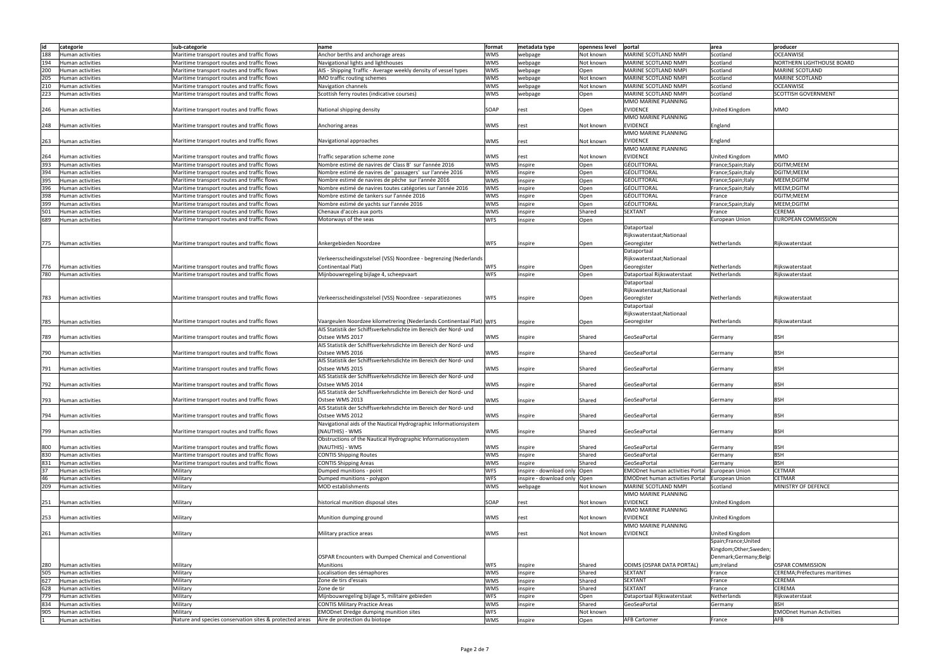| lid | categorie        | sub-categorie                                           | name                                                                 | format     | metadata type                 | openness level | portal                                 | area                  | producer                         |
|-----|------------------|---------------------------------------------------------|----------------------------------------------------------------------|------------|-------------------------------|----------------|----------------------------------------|-----------------------|----------------------------------|
|     |                  |                                                         |                                                                      |            |                               |                |                                        |                       |                                  |
| 188 | Human activities | Maritime transport routes and traffic flows             | Anchor berths and anchorage areas                                    | <b>WMS</b> | webpage                       | Not known      | MARINE SCOTLAND NMPI                   | Scotland              | <b>OCEANWISE</b>                 |
| 194 | Human activities | Maritime transport routes and traffic flows             | Navigational lights and lighthouses                                  | <b>WMS</b> | webpage                       | Not known      | MARINE SCOTLAND NMPI                   | Scotland              | <b>NORTHERN LIGHTHOUSE BOARD</b> |
| 200 | Human activities | Maritime transport routes and traffic flows             | AIS - Shipping Traffic - Average weekly density of vessel types      | <b>WMS</b> | webpage                       | Open           | MARINE SCOTLAND NMPI                   | Scotland              | <b>MARINE SCOTLAND</b>           |
| 205 | Human activities | Maritime transport routes and traffic flows             | IMO traffic routing schemes                                          | <b>WMS</b> | webpage                       | Not known      | MARINE SCOTLAND NMPI                   | Scotland              | MARINE SCOTLAND                  |
|     |                  |                                                         |                                                                      |            |                               |                |                                        |                       |                                  |
| 210 | Human activities | Maritime transport routes and traffic flows             | Navigation channels                                                  | <b>WMS</b> | webpage                       | Not known      | MARINE SCOTLAND NMPI                   | Scotland              | <b>OCEANWISE</b>                 |
| 223 | Human activities | Maritime transport routes and traffic flows             | Scottish ferry routes (indicative courses)                           | <b>WMS</b> | webpage                       | Open           | MARINE SCOTLAND NMPI                   | Scotland              | SCOTTISH GOVERNMENT              |
|     |                  |                                                         |                                                                      |            |                               |                | MMO MARINE PLANNING                    |                       |                                  |
| 246 | Human activities | Maritime transport routes and traffic flows             | National shipping density                                            | SOAP       | rest                          | Open           | <b>EVIDENCE</b>                        | United Kingdom        | <b>MMO</b>                       |
|     |                  |                                                         |                                                                      |            |                               |                | MMO MARINE PLANNING                    |                       |                                  |
|     |                  |                                                         |                                                                      |            |                               |                |                                        |                       |                                  |
| 248 | Human activities | Maritime transport routes and traffic flows             | Anchoring areas                                                      | <b>WMS</b> | rest                          | Not known      | <b>EVIDENCE</b>                        | England               |                                  |
|     |                  |                                                         |                                                                      |            |                               |                | MMO MARINE PLANNING                    |                       |                                  |
| 263 | Human activities | Maritime transport routes and traffic flows             | Navigational approaches                                              | <b>WMS</b> | rest                          | Not known      | <b>EVIDENCE</b>                        | England               |                                  |
|     |                  |                                                         |                                                                      |            |                               |                | MMO MARINE PLANNING                    |                       |                                  |
|     |                  |                                                         |                                                                      |            |                               |                |                                        |                       |                                  |
| 264 | Human activities | Maritime transport routes and traffic flows             | Traffic separation scheme zone                                       | <b>WMS</b> | rest                          | Not known      | <b>EVIDENCE</b>                        | United Kingdom        | MMO                              |
| 393 | Human activities | Maritime transport routes and traffic flows             | Nombre estimé de navires de' Class B' sur l'année 2016               | <b>WMS</b> | inspire                       | Open           | GÉOLITTORAL                            | France;Spain;Italy    | DGITM; MEEM                      |
| 394 | Human activities | Maritime transport routes and traffic flows             | Nombre estimé de navires de 'passagers' sur l'année 2016             | <b>WMS</b> | inspire                       | Open           | GÉOLITTORAL                            | France;Spain;Italy    | DGITM; MEEM                      |
| 395 |                  |                                                         |                                                                      | <b>WMS</b> |                               |                | GÉOLITTORAL                            |                       |                                  |
|     | Human activities | Maritime transport routes and traffic flows             | Nombre estimé de navires de pêche sur l'année 2016                   |            | inspire                       | Open           |                                        | France;Spain;Italy    | MEEM; DGITM                      |
| 396 | Human activities | Maritime transport routes and traffic flows             | Nombre estimé de navires toutes catégories sur l'année 2016          | <b>WMS</b> | inspire                       | Open           | GÉOLITTORAL                            | France;Spain;Italy    | MEEM; DGITM                      |
| 398 | Human activities | Maritime transport routes and traffic flows             | Nombre estimé de tankers sur l'année 2016                            | <b>WMS</b> | inspire                       | Open           | GÉOLITTORAL                            | France                | DGITM;MEEM                       |
| 399 | Human activities | Maritime transport routes and traffic flows             | Nombre estimé de yachts sur l'année 2016                             | <b>WMS</b> | inspire                       | Open           | GÉOLITTORAL                            | France;Spain;Italy    | MEEM; DGITM                      |
|     |                  |                                                         | Chenaux d'accès aux ports                                            | <b>WMS</b> |                               | Shared         | <b>SEXTANT</b>                         |                       | <b>CEREMA</b>                    |
| 501 | Human activities | Maritime transport routes and traffic flows             |                                                                      |            | inspire                       |                |                                        | France                |                                  |
| 689 | Human activities | Maritime transport routes and traffic flows             | Motorways of the seas                                                | <b>WFS</b> | inspire                       | Open           |                                        | European Union        | <b>EUROPEAN COMMISSION</b>       |
|     |                  |                                                         |                                                                      |            |                               |                | Dataportaal                            |                       |                                  |
|     |                  |                                                         |                                                                      |            |                               |                | Rijkswaterstaat;Nationaal              |                       |                                  |
|     |                  |                                                         |                                                                      |            |                               |                |                                        |                       |                                  |
| 775 | Human activities | Maritime transport routes and traffic flows             | Ankergebieden Noordzee                                               | <b>WFS</b> | inspire                       | Open           | Georegister                            | Netherlands           | Rijkswaterstaat                  |
|     |                  |                                                         |                                                                      |            |                               |                | Dataportaal                            |                       |                                  |
|     |                  |                                                         | Verkeersscheidingsstelsel (VSS) Noordzee - begrenzing (Nederlands    |            |                               |                | Rijkswaterstaat; Nationaal             |                       |                                  |
| 776 | Human activities | Maritime transport routes and traffic flows             | Continentaal Plat)                                                   | <b>WFS</b> | inspire                       | Open           | Georegister                            | Netherlands           | Rijkswaterstaat                  |
|     |                  |                                                         |                                                                      |            |                               |                |                                        |                       |                                  |
| 780 | Human activities | Maritime transport routes and traffic flows             | Mijnbouwregeling bijlage 4, scheepvaart                              | <b>WFS</b> | inspire                       | Open           | Dataportaal Rijkswaterstaat            | Netherlands           | Rijkswaterstaat                  |
|     |                  |                                                         |                                                                      |            |                               |                | Dataportaal                            |                       |                                  |
|     |                  |                                                         |                                                                      |            |                               |                | Rijkswaterstaat; Nationaal             |                       |                                  |
| 783 |                  | Maritime transport routes and traffic flows             | Verkeersscheidingsstelsel (VSS) Noordzee - separatiezones            | <b>WFS</b> |                               |                | Georegister                            | Netherlands           | Rijkswaterstaat                  |
|     | Human activities |                                                         |                                                                      |            | inspire                       | Open           |                                        |                       |                                  |
|     |                  |                                                         |                                                                      |            |                               |                | Dataportaal                            |                       |                                  |
|     |                  |                                                         |                                                                      |            |                               |                | Rijkswaterstaat; Nationaal             |                       |                                  |
| 785 | Human activities | Maritime transport routes and traffic flows             | Vaargeulen Noordzee kilometrering (Nederlands Continentaal Plat) WFS |            | inspire                       | Open           | Georegister                            | Netherlands           | Rijkswaterstaat                  |
|     |                  |                                                         | AIS Statistik der Schiffsverkehrsdichte im Bereich der Nord- und     |            |                               |                |                                        |                       |                                  |
|     |                  |                                                         |                                                                      |            |                               |                |                                        |                       |                                  |
| 789 | Human activities | Maritime transport routes and traffic flows             | Ostsee WMS 2017                                                      | <b>WMS</b> | inspire                       | Shared         | GeoSeaPortal                           | Germany               | BSH                              |
|     |                  |                                                         | AIS Statistik der Schiffsverkehrsdichte im Bereich der Nord- und     |            |                               |                |                                        |                       |                                  |
| 790 | Human activities | Maritime transport routes and traffic flows             | Ostsee WMS 2016                                                      | <b>WMS</b> | inspire                       | Shared         | GeoSeaPortal                           | Germany               | <b>BSH</b>                       |
|     |                  |                                                         | AIS Statistik der Schiffsverkehrsdichte im Bereich der Nord- und     |            |                               |                |                                        |                       |                                  |
|     |                  |                                                         |                                                                      |            |                               |                |                                        |                       |                                  |
| 791 | Human activities | Maritime transport routes and traffic flows             | Ostsee WMS 2015                                                      | <b>WMS</b> | inspire                       | Shared         | GeoSeaPortal                           | Germany               | <b>BSH</b>                       |
|     |                  |                                                         | AIS Statistik der Schiffsverkehrsdichte im Bereich der Nord- und     |            |                               |                |                                        |                       |                                  |
| 792 | Human activities | Maritime transport routes and traffic flows             | Ostsee WMS 2014                                                      | <b>WMS</b> | inspire                       | Shared         | GeoSeaPorta                            | Germany               | <b>BSH</b>                       |
|     |                  |                                                         | AIS Statistik der Schiffsverkehrsdichte im Bereich der Nord- und     |            |                               |                |                                        |                       |                                  |
|     |                  |                                                         |                                                                      |            |                               |                |                                        |                       |                                  |
| 793 | Human activities | Maritime transport routes and traffic flows             | Ostsee WMS 2013                                                      | <b>WMS</b> | inspire                       | Shared         | GeoSeaPortal                           | Germany               | BSH                              |
|     |                  |                                                         | AIS Statistik der Schiffsverkehrsdichte im Bereich der Nord- und     |            |                               |                |                                        |                       |                                  |
| 794 | Human activities | Maritime transport routes and traffic flows             | Ostsee WMS 2012                                                      | <b>WMS</b> | inspire                       | Shared         | GeoSeaPortal                           | Germany               | <b>BSH</b>                       |
|     |                  |                                                         | Navigational aids of the Nautical Hydrographic Informationsystem     |            |                               |                |                                        |                       |                                  |
|     |                  |                                                         |                                                                      |            |                               |                |                                        |                       |                                  |
| 799 | Human activities | Maritime transport routes and traffic flows             | (NAUTHIS) - WMS                                                      | <b>WMS</b> | inspire                       | Shared         | GeoSeaPortal                           | Germany               | <b>BSH</b>                       |
|     |                  |                                                         | Obstructions of the Nautical Hydrographic Informationsystem          |            |                               |                |                                        |                       |                                  |
| 800 | Human activities | Maritime transport routes and traffic flows             | (NAUTHIS) - WMS                                                      | <b>WMS</b> | inspire                       | Shared         | GeoSeaPortal                           | Germany               | <b>BSH</b>                       |
| 830 | Human activities | Maritime transport routes and traffic flows             | <b>CONTIS Shipping Routes</b>                                        | <b>WMS</b> | inspire                       | Shared         | GeoSeaPortal                           | Germany               | <b>BSH</b>                       |
| 831 |                  | Maritime transport routes and traffic flows             |                                                                      | <b>WMS</b> |                               | Shared         | GeoSeaPortal                           | Germany               | <b>BSH</b>                       |
|     | Human activities |                                                         | <b>CONTIS Shipping Areas</b>                                         |            | inspire                       |                |                                        |                       |                                  |
| 37  | Human activities | Military                                                | Dumped munitions - point                                             | <b>WFS</b> | inspire - download only Open  |                | <b>EMODnet human activities Portal</b> | <b>European Union</b> | <b>CETMAR</b>                    |
| 46  | Human activities | Military                                                | Dumped munitions - polygon                                           | <b>WFS</b> | inspire - download only  Open |                | <b>EMODnet human activities Portal</b> | European Union        | <b>CETMAR</b>                    |
| 209 | Human activities | Military                                                | MOD establishments                                                   | <b>WMS</b> | webpage                       | Not known      | MARINE SCOTLAND NMPI                   | Scotland              | MINISTRY OF DEFENCE              |
|     |                  |                                                         |                                                                      |            |                               |                | MMO MARINE PLANNING                    |                       |                                  |
|     |                  |                                                         |                                                                      |            |                               |                |                                        |                       |                                  |
| 251 | Human activities | Military                                                | historical munition disposal sites                                   | SOAP       | rest                          | Not known      | <b>EVIDENCE</b>                        | United Kingdom        |                                  |
|     |                  |                                                         |                                                                      |            |                               |                | MMO MARINE PLANNING                    |                       |                                  |
| 253 | Human activities | Military                                                | Munition dumping ground                                              | <b>WMS</b> | rest                          | Not known      | <b>EVIDENCE</b>                        | United Kingdom        |                                  |
|     |                  |                                                         |                                                                      |            |                               |                | MMO MARINE PLANNING                    |                       |                                  |
| 261 |                  | Military                                                |                                                                      | <b>WMS</b> | rest                          | Not known      | <b>EVIDENCE</b>                        | United Kingdom        |                                  |
|     | Human activities |                                                         | Military practice areas                                              |            |                               |                |                                        |                       |                                  |
|     |                  |                                                         |                                                                      |            |                               |                |                                        | Spain;France;United   |                                  |
|     |                  |                                                         |                                                                      |            |                               |                |                                        | Kingdom;Other;Sweden; |                                  |
|     |                  |                                                         | OSPAR Encounters with Dumped Chemical and Conventional               |            |                               |                |                                        | Denmark;Germany;Belgi |                                  |
|     |                  |                                                         |                                                                      |            |                               |                |                                        |                       |                                  |
| 280 | Human activities | Military                                                | <b>Munitions</b>                                                     | <b>WFS</b> | inspire                       | Shared         | <b>ODIMS (OSPAR DATA PORTAL)</b>       | um;Ireland            | <b>OSPAR COMMISSION</b>          |
| 505 | Human activities | Military                                                | Localisation des sémaphores                                          | <b>WMS</b> | inspire                       | Shared         | <b>SEXTANT</b>                         | France                | CEREMA; Préfectures maritimes    |
| 627 | Human activities | Military                                                | Zone de tirs d'essais                                                | <b>WMS</b> | inspire                       | Shared         | <b>SEXTANT</b>                         | France                | <b>CEREMA</b>                    |
| 628 | Human activities | Military                                                | Zone de tir                                                          | <b>WMS</b> | inspire                       | Shared         | <b>SEXTANT</b>                         | France                | <b>CEREMA</b>                    |
| 779 |                  |                                                         |                                                                      |            |                               |                |                                        |                       |                                  |
|     | Human activities | Military                                                | Mijnbouwregeling bijlage 5, militaire gebieden                       | <b>WFS</b> | inspire                       | Open           | Dataportaal Rijkswaterstaat            | Netherlands           | Rijkswaterstaat                  |
| 834 | Human activities | Military                                                | <b>CONTIS Military Practice Areas</b>                                | <b>WMS</b> | inspire                       | Shared         | GeoSeaPortal                           | Germany               | <b>BSH</b>                       |
| 905 | Human activities | Military                                                | <b>EMODnet Dredge dumping munition sites</b>                         | <b>WFS</b> |                               | Not known      |                                        |                       | <b>EMODnet Human Activities</b>  |
|     | Human activities | Nature and species conservation sites & protected areas | Aire de protection du biotope                                        | <b>WMS</b> | inspire                       | Open           | <b>AFB Cartomer</b>                    | France                | <b>AFB</b>                       |
|     |                  |                                                         |                                                                      |            |                               |                |                                        |                       |                                  |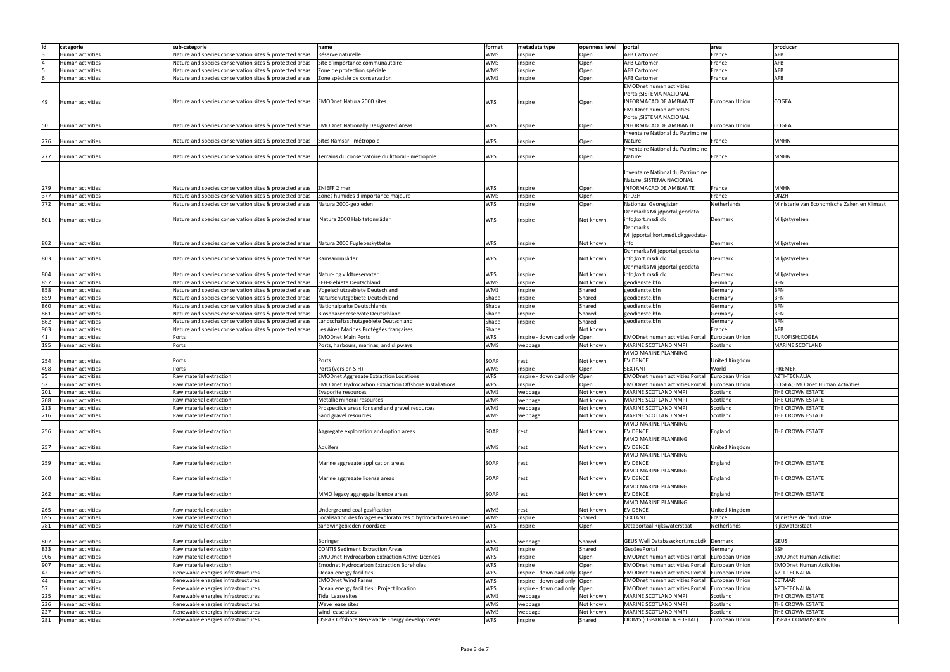| lid |                  |                                                                                                             |                                                               |               |                                | openness level   portal |                                          | area           | producer                                    |
|-----|------------------|-------------------------------------------------------------------------------------------------------------|---------------------------------------------------------------|---------------|--------------------------------|-------------------------|------------------------------------------|----------------|---------------------------------------------|
|     | categorie        | sub-categorie                                                                                               | name                                                          | <b>format</b> | metadata type                  |                         |                                          |                |                                             |
|     | Human activities | Nature and species conservation sites & protected areas                                                     | Réserve naturelle                                             | <b>WMS</b>    | inspire                        | Open                    | <b>AFB Cartomer</b>                      | France         | AFB                                         |
|     | Human activities | Nature and species conservation sites & protected areas                                                     | Site d'importance communautaire                               | <b>WMS</b>    | inspire                        | Open                    | <b>AFB Cartomer</b>                      | France         | AFB                                         |
|     | Human activities | Nature and species conservation sites & protected areas                                                     | Zone de protection spéciale                                   | <b>WMS</b>    | inspire                        | Open                    | <b>AFB Cartomer</b>                      | France         | AFB                                         |
|     | Human activities | Nature and species conservation sites & protected areas                                                     | Zone spéciale de conservation                                 | <b>WMS</b>    | inspire                        | Open                    | <b>AFB Cartomer</b>                      | France         | AFB                                         |
|     |                  |                                                                                                             |                                                               |               |                                |                         | <b>EMODnet human activities</b>          |                |                                             |
|     |                  |                                                                                                             |                                                               |               |                                |                         |                                          |                |                                             |
|     |                  |                                                                                                             |                                                               |               |                                |                         | Portal; SISTEMA NACIONAL                 |                |                                             |
| 49  | Human activities | Nature and species conservation sites & protected areas                                                     | <b>EMODnet Natura 2000 sites</b>                              | <b>WFS</b>    | inspire                        | Open                    | <b>INFORMACAO DE AMBIANTE</b>            | European Union | <b>COGEA</b>                                |
|     |                  |                                                                                                             |                                                               |               |                                |                         | <b>EMODnet human activities</b>          |                |                                             |
|     |                  |                                                                                                             |                                                               |               |                                |                         | Portal; SISTEMA NACIONAL                 |                |                                             |
| 50  | Human activities | Nature and species conservation sites & protected areas EMODnet Nationally Designated Areas                 |                                                               | <b>WFS</b>    | inspire                        | Open                    | <b>INFORMACAO DE AMBIANTE</b>            | European Union | COGEA                                       |
|     |                  |                                                                                                             |                                                               |               |                                |                         |                                          |                |                                             |
|     |                  |                                                                                                             |                                                               |               |                                |                         | Inventaire National du Patrimoine        |                |                                             |
| 276 | Human activities | Nature and species conservation sites & protected areas                                                     | Sites Ramsar - métropole                                      | <b>WFS</b>    | inspire                        | Open                    | Naturel                                  | France         | <b>MNHN</b>                                 |
|     |                  |                                                                                                             |                                                               |               |                                |                         | Inventaire National du Patrimoine        |                |                                             |
| 277 | Human activities | Nature and species conservation sites & protected areas   Terrains du conservatoire du littoral - métropole |                                                               | <b>WFS</b>    | inspire                        | Open                    | Naturel                                  | France         | <b>MNHN</b>                                 |
|     |                  |                                                                                                             |                                                               |               |                                |                         |                                          |                |                                             |
|     |                  |                                                                                                             |                                                               |               |                                |                         |                                          |                |                                             |
|     |                  |                                                                                                             |                                                               |               |                                |                         | Inventaire National du Patrimoine        |                |                                             |
|     |                  |                                                                                                             |                                                               |               |                                |                         | Naturel; SISTEMA NACIONAL                |                |                                             |
| 279 | Human activities | Nature and species conservation sites & protected areas                                                     | ZNIEFF 2 mer                                                  | <b>WFS</b>    | inspire                        | Open                    | <b>INFORMACAO DE AMBIANTE</b>            | France         | <b>MNHN</b>                                 |
| 377 | Human activities | Nature and species conservation sites & protected areas                                                     | Zones humides d'importance majeure                            | <b>WMS</b>    | inspire                        | Open                    | <b>RPDZH</b>                             | France         | ONZH                                        |
| 772 | Human activities | Nature and species conservation sites & protected areas                                                     | Natura 2000-gebieden                                          | <b>WFS</b>    | inspire                        | Open                    | Nationaal Georegister                    | Netherlands    | Ministerie van Economische Zaken en Klimaat |
|     |                  |                                                                                                             |                                                               |               |                                |                         | Danmarks Miljøportal; geodata-           |                |                                             |
|     |                  |                                                                                                             |                                                               |               |                                |                         |                                          |                |                                             |
| 801 | Human activities | Nature and species conservation sites & protected areas                                                     | Natura 2000 Habitatområder                                    | <b>WFS</b>    | inspire                        | Not known               | info;kort.msdi.dk                        | Denmark        | Miljøstyrelsen                              |
|     |                  |                                                                                                             |                                                               |               |                                |                         | Danmarks                                 |                |                                             |
|     |                  |                                                                                                             |                                                               |               |                                |                         | Miljøportal;kort.msdi.dk;geodata-        |                |                                             |
| 802 | Human activities | Nature and species conservation sites & protected areas   Natura 2000 Fuglebeskyttelse                      |                                                               | <b>WFS</b>    | inspire                        | Not known               | info                                     | Denmark        | Miljøstyrelsen                              |
|     |                  |                                                                                                             |                                                               |               |                                |                         | Danmarks Miljøportal; geodata-           |                |                                             |
|     |                  |                                                                                                             |                                                               |               |                                |                         |                                          |                |                                             |
| 803 | Human activities | Nature and species conservation sites & protected areas                                                     | Ramsarområder                                                 | <b>WFS</b>    | inspire                        | Not known               | info;kort.msdi.dk                        | Denmark        | Miljøstyrelsen                              |
|     |                  |                                                                                                             |                                                               |               |                                |                         | Danmarks Miljøportal; geodata-           |                |                                             |
| 804 | Human activities | Nature and species conservation sites & protected areas                                                     | Natur- og vildtreservater                                     | <b>WFS</b>    | inspire                        | Not known               | info;kort.msdi.dk                        | Denmark        | Miljøstyrelsen                              |
| 857 | Human activities | Nature and species conservation sites & protected areas                                                     | FFH-Gebiete Deutschland                                       | <b>WMS</b>    | inspire                        | Not known               | geodienste.bfn                           | Germany        | <b>BFN</b>                                  |
| 858 | Human activities | Nature and species conservation sites & protected areas                                                     | Vogelschutzgebiete Deutschland                                | <b>WMS</b>    |                                | Shared                  | geodienste.bfn                           | Germany        | <b>BFN</b>                                  |
|     |                  |                                                                                                             |                                                               |               | inspire                        |                         |                                          |                |                                             |
| 859 | Human activities | Nature and species conservation sites & protected areas                                                     | Naturschutzgebiete Deutschland                                | Shape         | inspire                        | Shared                  | geodienste.bfn                           | Germany        | <b>BFN</b>                                  |
| 860 | Human activities | Nature and species conservation sites & protected areas                                                     | Nationalparke Deutschlands                                    | Shape         | inspire                        | Shared                  | geodienste.bfn                           | Germany        | <b>BFN</b>                                  |
| 861 | Human activities | Nature and species conservation sites & protected areas                                                     | Biosphärenreservate Deutschland                               | Shape         | inspire                        | Shared                  | geodienste.bfn                           | Germany        | <b>BFN</b>                                  |
| 862 | Human activities | Nature and species conservation sites & protected areas                                                     | Landschaftsschutzgebiete Deutschland                          | Shape         | inspire                        | Shared                  | geodienste.bfn                           | Germany        | <b>BFN</b>                                  |
| 903 | Human activities | Nature and species conservation sites & protected areas                                                     | Les Aires Marines Protégées françaises                        | Shape         |                                | Not known               |                                          | France         | AFB                                         |
|     |                  |                                                                                                             |                                                               |               |                                |                         |                                          |                |                                             |
| 41  | Human activities | Ports                                                                                                       | <b>EMODnet Main Ports</b>                                     | <b>WFS</b>    | inspire - download only Open   |                         | <b>EMODnet human activities Portal</b>   | European Union | EUROFISH;COGEA                              |
| 195 | Human activities | Ports                                                                                                       | Ports, harbours, marinas, and slipways                        | <b>WMS</b>    | webpage                        | Not known               | MARINE SCOTLAND NMPI                     | Scotland       | MARINE SCOTLAND                             |
|     |                  |                                                                                                             |                                                               |               |                                |                         | MMO MARINE PLANNING                      |                |                                             |
| 254 | Human activities | Ports                                                                                                       | Ports                                                         | SOAP          | rest                           | Not known               | <b>EVIDENCE</b>                          | United Kingdom |                                             |
| 498 | Human activities | Ports                                                                                                       | Ports (version SIH)                                           | <b>WMS</b>    | inspire                        | Open                    | <b>SEXTANT</b>                           | World          | <b>IFREMER</b>                              |
| 35  | Human activities | Raw material extraction                                                                                     | <b>EMODnet Aggregate Extraction Locations</b>                 | <b>WFS</b>    | inspire - download only   Open |                         | <b>EMODnet human activities Portal</b>   | European Union | AZTI-TECNALIA                               |
|     |                  |                                                                                                             |                                                               |               |                                |                         |                                          |                |                                             |
| 52  | Human activities |                                                                                                             |                                                               | <b>WFS</b>    | inspire                        |                         | <b>EMODnet human activities Portal</b>   | European Union | COGEA;EMODnet Human Activities              |
|     |                  | Raw material extraction                                                                                     | <b>EMODnet Hydrocarbon Extraction Offshore Installations</b>  |               |                                | Open                    |                                          |                |                                             |
| 201 | Human activities | Raw material extraction                                                                                     | Evaporite resources                                           | <b>WMS</b>    | webpage                        | Not known               | MARINE SCOTLAND NMPI                     | Scotland       | THE CROWN ESTATE                            |
| 208 | Human activities | Raw material extraction                                                                                     | Metallic mineral resources                                    | <b>WMS</b>    | webpage                        | Not known               | MARINE SCOTLAND NMPI                     | Scotland       | THE CROWN ESTATE                            |
|     | Human activities | Raw material extraction                                                                                     |                                                               | <b>WMS</b>    |                                | Not known               | MARINE SCOTLAND NMPI                     | Scotland       | THE CROWN ESTATE                            |
| 213 |                  |                                                                                                             | Prospective areas for sand and gravel resources               |               | webpage                        |                         |                                          |                |                                             |
| 216 | Human activities | Raw material extraction                                                                                     | Sand gravel resources                                         | <b>WMS</b>    | webpage                        | Not known               | MARINE SCOTLAND NMPI                     | Scotland       | THE CROWN ESTATE                            |
|     |                  |                                                                                                             |                                                               |               |                                |                         | MMO MARINE PLANNING                      |                |                                             |
| 256 | Human activities | Raw material extraction                                                                                     | Aggregate exploration and option areas                        | SOAP          | rest                           | Not known               | <b>EVIDENCE</b>                          | England        | THE CROWN ESTATE                            |
|     |                  |                                                                                                             |                                                               |               |                                |                         | MMO MARINE PLANNING                      |                |                                             |
| 257 | Human activities | Raw material extraction                                                                                     | Aquifers                                                      | <b>WMS</b>    | rest                           | Not known               | <b>EVIDENCE</b>                          | United Kingdom |                                             |
|     |                  |                                                                                                             |                                                               |               |                                |                         | MMO MARINE PLANNING                      |                |                                             |
|     |                  |                                                                                                             |                                                               |               |                                |                         |                                          |                |                                             |
| 259 | Human activities | Raw material extraction                                                                                     | Marine aggregate application areas                            | SOAP          | rest                           | Not known               | <b>EVIDENCE</b>                          | England        | THE CROWN ESTATE                            |
|     |                  |                                                                                                             |                                                               |               |                                |                         | MMO MARINE PLANNING                      |                |                                             |
| 260 | Human activities | Raw material extraction                                                                                     | Marine aggregate license areas                                | SOAP          | rest                           | Not known               | <b>EVIDENCE</b>                          | England        | THE CROWN ESTATE                            |
|     |                  |                                                                                                             |                                                               |               |                                |                         | MMO MARINE PLANNING                      |                |                                             |
| 262 | Human activities | Raw material extraction                                                                                     | MMO legacy aggregate licence areas                            | SOAP          | rest                           | Not known               | <b>EVIDENCE</b>                          | England        | THE CROWN ESTATE                            |
|     |                  |                                                                                                             |                                                               |               |                                |                         | MMO MARINE PLANNING                      |                |                                             |
|     |                  |                                                                                                             |                                                               |               |                                |                         |                                          |                |                                             |
| 265 | Human activities | Raw material extraction                                                                                     | Underground coal gasification                                 | <b>WMS</b>    | rest                           | Not known               | <b>EVIDENCE</b>                          | United Kingdom |                                             |
| 695 | Human activities | Raw material extraction                                                                                     | Localisation des forages exploratoires d'hydrocarbures en mer | <b>WMS</b>    | inspire                        | Shared                  | <b>SEXTANT</b>                           | France         | Ministère de l'Industrie                    |
| 781 | Human activities | Raw material extraction                                                                                     | zandwingebieden noordzee                                      | <b>WFS</b>    | inspire                        | Open                    | Dataportaal Rijkswaterstaat              | Netherlands    | Rijkswaterstaat                             |
|     |                  |                                                                                                             |                                                               |               |                                |                         |                                          |                |                                             |
| 807 | Human activities | Raw material extraction                                                                                     | Boringer                                                      | <b>WFS</b>    | webpage                        | Shared                  | GEUS Well Database; kort.msdi.dk Denmark |                | <b>GEUS</b>                                 |
|     |                  |                                                                                                             |                                                               |               |                                |                         |                                          |                |                                             |
| 833 | Human activities | Raw material extraction                                                                                     | <b>CONTIS Sediment Extraction Areas</b>                       | <b>WMS</b>    | inspire                        | Shared                  | GeoSeaPortal                             | Germany        | <b>BSH</b>                                  |
| 906 | Human activities | Raw material extraction                                                                                     | <b>EMODnet Hydrocarbon Extraction Active Licences</b>         | <b>WFS</b>    | inspire                        | Open                    | <b>EMODnet human activities Portal</b>   | European Union | <b>EMODnet Human Activities</b>             |
| 907 | Human activities | Raw material extraction                                                                                     | <b>Emodnet Hydrocarbon Extraction Boreholes</b>               | <b>WFS</b>    | inspire                        | Open                    | <b>EMODnet human activities Portal</b>   | European Union | <b>EMODnet Human Activities</b>             |
| 42  | Human activities | Renewable energies infrastructures                                                                          | Ocean energy facilities                                       | <b>WFS</b>    | inspire - download only Open   |                         | <b>EMODnet human activities Portal</b>   | European Union | AZTI-TECNALIA                               |
|     | Human activities | Renewable energies infrastructures                                                                          | <b>EMODnet Wind Farms</b>                                     | <b>WFS</b>    | inspire - download only  Open  |                         | <b>EMODnet human activities Portal</b>   | European Union | <b>CETMAR</b>                               |
| 44  |                  |                                                                                                             |                                                               |               |                                |                         |                                          |                |                                             |
| 57  | Human activities | Renewable energies infrastructures                                                                          | Ocean energy facilities : Project location                    | <b>WFS</b>    | inspire - download only Open   |                         | <b>EMODnet human activities Portal</b>   | European Union | AZTI-TECNALIA                               |
| 225 | Human activities | Renewable energies infrastructures                                                                          | Tidal Lease sites                                             | <b>WMS</b>    | webpage                        | Not known               | MARINE SCOTLAND NMPI                     | Scotland       | THE CROWN ESTATE                            |
| 226 | Human activities | Renewable energies infrastructures                                                                          | Wave lease sites                                              | <b>WMS</b>    | webpage                        | Not known               | MARINE SCOTLAND NMPI                     | Scotland       | THE CROWN ESTATE                            |
| 227 | Human activities | Renewable energies infrastructures                                                                          | wind lease sites                                              | <b>WMS</b>    | webpage                        | Not known               | MARINE SCOTLAND NMPI                     | Scotland       | THE CROWN ESTATE                            |
| 281 | Human activities | Renewable energies infrastructures                                                                          | OSPAR Offshore Renewable Energy developments                  | <b>WFS</b>    | inspire                        | Shared                  | ODIMS (OSPAR DATA PORTAL)                | European Union | <b>OSPAR COMMISSION</b>                     |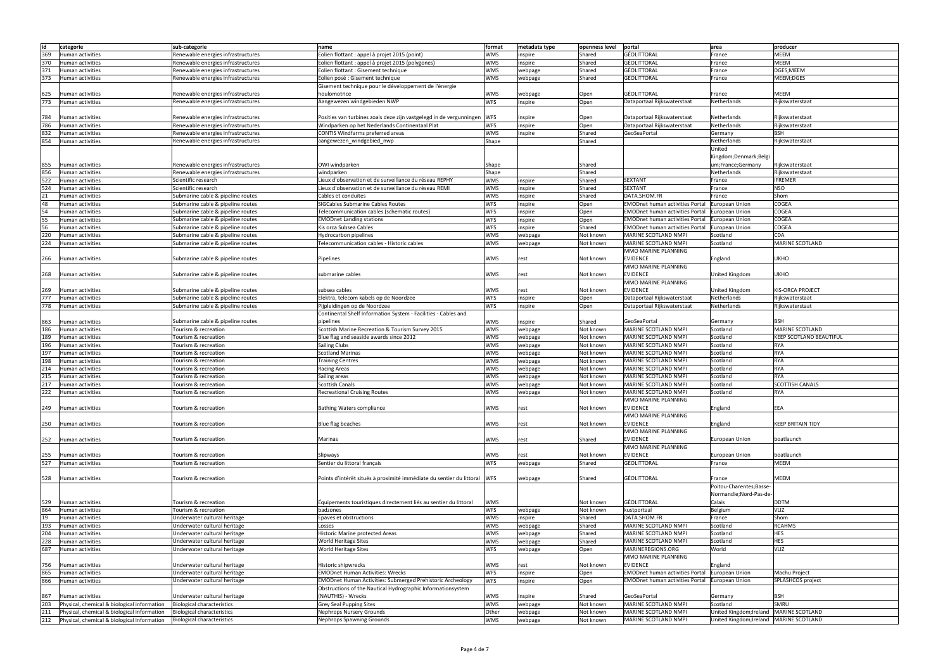| lid | categorie                                   | sub-categorie                      | name                                                                     | format     | metadata type | openness level | portal                                 | area                                                           | producer                       |
|-----|---------------------------------------------|------------------------------------|--------------------------------------------------------------------------|------------|---------------|----------------|----------------------------------------|----------------------------------------------------------------|--------------------------------|
|     |                                             |                                    |                                                                          |            |               |                |                                        |                                                                |                                |
| 369 | Human activities                            | Renewable energies infrastructures | Eolien flottant : appel à projet 2015 (point)                            | <b>WMS</b> | inspire       | Shared         | <b>GÉOLITTORAL</b>                     | France                                                         | <b>MEEM</b>                    |
| 370 | <b>Human activities</b>                     | Renewable energies infrastructures | Eolien flottant : appel à projet 2015 (polygones)                        | <b>WMS</b> | inspire       | Shared         | <b>GÉOLITTORAL</b>                     | France                                                         | <b>MEEM</b>                    |
| 371 | Human activities                            | Renewable energies infrastructures | Eolien flottant : Gisement technique                                     | <b>WMS</b> |               |                | <b>GÉOLITTORAL</b>                     | France                                                         | DGES;MEEM                      |
|     |                                             |                                    |                                                                          |            | webpage       | Shared         |                                        |                                                                |                                |
| 373 | Human activities                            | Renewable energies infrastructures | Eolien posé : Gisement technique                                         | <b>WMS</b> | webpage       | Shared         | <b>GÉOLITTORAL</b>                     | France                                                         | MEEM;DGES                      |
|     |                                             |                                    | Gisement technique pour le développement de l'énergie                    |            |               |                |                                        |                                                                |                                |
|     |                                             |                                    | houlomotrice                                                             | <b>WMS</b> |               |                | <b>GÉOLITTORAL</b>                     |                                                                | <b>MEEM</b>                    |
| 625 | Human activities                            | Renewable energies infrastructures |                                                                          |            | webpage       | Open           |                                        | France                                                         |                                |
| 773 | Human activities                            | Renewable energies infrastructures | Aangewezen windgebieden NWP                                              | <b>WFS</b> | inspire       | Open           | Dataportaal Rijkswaterstaat            | Netherlands                                                    | Rijkswaterstaat                |
|     |                                             |                                    |                                                                          |            |               |                |                                        |                                                                |                                |
|     |                                             |                                    |                                                                          |            |               |                |                                        |                                                                |                                |
| 784 | Human activities                            | Renewable energies infrastructures | Posities van turbines zoals deze zijn vastgelegd in de vergunningen WFS  |            | inspire       | Open           | Dataportaal Rijkswaterstaat            | Netherlands                                                    | Rijkswaterstaat                |
| 786 | Human activities                            | Renewable energies infrastructures | Windparken op het Nederlands Continentaal Plat                           | <b>WFS</b> | inspire       | Open           | Dataportaal Rijkswaterstaat            | Netherlands                                                    | Rijkswaterstaat                |
| 832 | Human activities                            | Renewable energies infrastructures | CONTIS Windfarms preferred areas                                         | <b>WMS</b> | inspire       | Shared         | GeoSeaPortal                           | Germany                                                        | <b>BSH</b>                     |
|     |                                             |                                    |                                                                          |            |               |                |                                        |                                                                |                                |
| 854 | <b>Human activities</b>                     | Renewable energies infrastructures | aangewezen_windgebied_nwp                                                | Shape      |               | Shared         |                                        | Netherlands                                                    | Rijkswaterstaat                |
|     |                                             |                                    |                                                                          |            |               |                |                                        | United                                                         |                                |
|     |                                             |                                    |                                                                          |            |               |                |                                        | <ingdom;denmark;belgi< td=""><td></td></ingdom;denmark;belgi<> |                                |
|     |                                             |                                    |                                                                          |            |               |                |                                        |                                                                |                                |
| 855 | Human activities                            | Renewable energies infrastructures | OWI windparken                                                           | Shape      |               | Shared         |                                        | um;France;Germany                                              | Rijkswaterstaat                |
| 856 | <b>Human activities</b>                     | Renewable energies infrastructures | windparken                                                               | Shape      |               | Shared         |                                        | Netherlands                                                    | Rijkswaterstaat                |
| 522 |                                             |                                    |                                                                          | <b>WMS</b> |               |                | <b>SEXTANT</b>                         |                                                                | <b>IFREMER</b>                 |
|     | Human activities                            | Scientific research                | Lieux d'observation et de surveillance du réseau REPHY                   |            | inspire       | Shared         |                                        | France                                                         |                                |
| 524 | Human activities                            | Scientific research                | Lieux d'observation et de surveillance du réseau REMI                    | <b>WMS</b> | inspire       | Shared         | <b>SEXTANT</b>                         | France                                                         | <b>NSO</b>                     |
| 21  | Human activities                            | Submarine cable & pipeline routes  | Cables et conduites                                                      | <b>WMS</b> | inspire       | Shared         | DATA.SHOM.FR                           | France                                                         | Shom                           |
|     |                                             |                                    |                                                                          |            |               |                |                                        |                                                                |                                |
| 48  | Human activities                            | Submarine cable & pipeline routes  | SIGCables Submarine Cables Routes                                        | <b>WFS</b> | inspire       | Open           | <b>EMODnet human activities Portal</b> | <b>European Union</b>                                          | <b>COGEA</b>                   |
| 54  | Human activities                            | Submarine cable & pipeline routes  | Telecommunication cables (schematic routes)                              | <b>WFS</b> | inspire       | Open           | <b>EMODnet human activities Portal</b> | European Union                                                 | <b>COGEA</b>                   |
| 55  | Human activities                            | Submarine cable & pipeline routes  | <b>EMODnet Landing stations</b>                                          | <b>WFS</b> | inspire       | Open           | <b>EMODnet human activities Portal</b> | European Union                                                 | COGEA                          |
|     |                                             |                                    |                                                                          |            |               |                |                                        |                                                                |                                |
| 56  | <b>Human activities</b>                     | Submarine cable & pipeline routes  | Kis orca Subsea Cables                                                   | <b>WFS</b> | inspire       | Shared         | <b>EMODnet human activities Portal</b> | European Union                                                 | COGEA                          |
| 220 | Human activities                            | Submarine cable & pipeline routes  | Hydrocarbon pipelines                                                    | <b>WMS</b> | webpage       | Not known      | MARINE SCOTLAND NMPI                   | Scotland                                                       | <b>CDA</b>                     |
|     |                                             |                                    |                                                                          |            |               |                |                                        |                                                                | <b>MARINE SCOTLAND</b>         |
| 224 | Human activities                            | Submarine cable & pipeline routes  | Telecommunication cables - Historic cables                               | <b>WMS</b> | webpage       | Not known      | MARINE SCOTLAND NMPI                   | Scotland                                                       |                                |
|     |                                             |                                    |                                                                          |            |               |                | MMO MARINE PLANNING                    |                                                                |                                |
| 266 | Human activities                            | Submarine cable & pipeline routes  | Pipelines                                                                | <b>WMS</b> | rest          | Not known      | <b>EVIDENCE</b>                        | England                                                        | <b>UKHO</b>                    |
|     |                                             |                                    |                                                                          |            |               |                |                                        |                                                                |                                |
|     |                                             |                                    |                                                                          |            |               |                | MMO MARINE PLANNING                    |                                                                |                                |
| 268 | Human activities                            | Submarine cable & pipeline routes  | submarine cables                                                         | <b>WMS</b> | rest          | Not known      | <b>EVIDENCE</b>                        | United Kingdom                                                 | <b>UKHO</b>                    |
|     |                                             |                                    |                                                                          |            |               |                |                                        |                                                                |                                |
|     |                                             |                                    |                                                                          |            |               |                | MMO MARINE PLANNING                    |                                                                |                                |
| 269 | Human activities                            | Submarine cable & pipeline routes  | subsea cables                                                            | <b>WMS</b> | rest          | Not known      | <b>EVIDENCE</b>                        | United Kingdom                                                 | <b>KIS-ORCA PROJECT</b>        |
| 777 | <b>Human activities</b>                     | Submarine cable & pipeline routes  | Elektra, telecom kabels op de Noordzee                                   | <b>WFS</b> |               |                | Dataportaal Rijkswaterstaat            | Netherlands                                                    | Rijkswaterstaat                |
|     |                                             |                                    |                                                                          |            | inspire       | Open           |                                        |                                                                |                                |
| 778 | Human activities                            | Submarine cable & pipeline routes  | Pijpleidingen op de Noordzee                                             | <b>WFS</b> | inspire       | Open           | Dataportaal Rijkswaterstaat            | Netherlands                                                    | Rijkswaterstaat                |
|     |                                             |                                    | Continental Shelf Information System - Facilities - Cables and           |            |               |                |                                        |                                                                |                                |
|     |                                             |                                    |                                                                          |            |               |                |                                        |                                                                |                                |
| 863 | Human activities                            | Submarine cable & pipeline routes  | pipelines                                                                | <b>WMS</b> | inspire       | Shared         | GeoSeaPortal                           | Germany                                                        | <b>BSH</b>                     |
| 186 | <b>Human activities</b>                     | Tourism & recreation               | Scottish Marine Recreation & Tourism Survey 2015                         | <b>WMS</b> | webpage       | Not known      | MARINE SCOTLAND NMPI                   | Scotland                                                       | MARINE SCOTLAND                |
| 189 | Human activities                            | Tourism & recreation               | Blue flag and seaside awards since 2012                                  | <b>WMS</b> | webpage       | Not known      | MARINE SCOTLAND NMPI                   | Scotland                                                       | <b>KEEP SCOTLAND BEAUTIFUL</b> |
|     |                                             |                                    |                                                                          |            |               |                |                                        |                                                                |                                |
|     |                                             |                                    |                                                                          |            |               |                |                                        |                                                                |                                |
| 196 | Human activities                            | Tourism & recreation               | <b>Sailing Clubs</b>                                                     | <b>WMS</b> | webpage       | Not known      | MARINE SCOTLAND NMPI                   | Scotland                                                       | <b>RYA</b>                     |
| 197 | <b>Human activities</b>                     | Tourism & recreation               | <b>Scotland Marinas</b>                                                  | <b>WMS</b> | webpage       | Not known      | MARINE SCOTLAND NMPI                   | Scotland                                                       | <b>RYA</b>                     |
|     |                                             |                                    |                                                                          |            |               |                |                                        |                                                                |                                |
| 198 | Human activities                            | Tourism & recreation               | <b>Training Centres</b>                                                  | <b>WMS</b> | webpage       | Not known      | MARINE SCOTLAND NMPI                   | Scotland                                                       | <b>RYA</b>                     |
| 214 | Human activities                            | Tourism & recreation               | <b>Racing Areas</b>                                                      | <b>WMS</b> | webpage       | Not known      | MARINE SCOTLAND NMPI                   | Scotland                                                       | <b>RYA</b>                     |
| 215 | Human activities                            | Tourism & recreation               | Sailing areas                                                            | <b>WMS</b> | webpage       | Not known      | MARINE SCOTLAND NMPI                   | Scotland                                                       | <b>RYA</b>                     |
|     |                                             |                                    |                                                                          |            |               |                |                                        |                                                                |                                |
| 217 | Human activities                            | Tourism & recreation               | <b>Scottish Canals</b>                                                   | <b>WMS</b> | webpage       | Not known      | MARINE SCOTLAND NMPI                   | Scotland                                                       | <b>SCOTTISH CANALS</b>         |
| 222 | Human activities                            | Tourism & recreation               | <b>Recreational Cruising Routes</b>                                      | <b>WMS</b> | webpage       | Not known      | MARINE SCOTLAND NMPI                   | Scotland                                                       | <b>RYA</b>                     |
|     |                                             |                                    |                                                                          |            |               |                |                                        |                                                                |                                |
|     |                                             |                                    |                                                                          |            |               |                | IMMO MARINE PLANNING                   |                                                                |                                |
| 249 | Human activities                            | Tourism & recreation               | <b>Bathing Waters compliance</b>                                         | <b>WMS</b> | rest          | Not known      | <b>EVIDENCE</b>                        | England                                                        | EEA                            |
|     |                                             |                                    |                                                                          |            |               |                | MMO MARINE PLANNING                    |                                                                |                                |
|     |                                             |                                    |                                                                          |            |               |                |                                        |                                                                |                                |
| 250 | Human activities                            | Tourism & recreation               | Blue flag beaches                                                        | <b>WMS</b> | rest          | Not known      | <b>EVIDENCE</b>                        | England                                                        | <b>KEEP BRITAIN TIDY</b>       |
|     |                                             |                                    |                                                                          |            |               |                | MMO MARINE PLANNING                    |                                                                |                                |
| 252 | Human activities                            | Tourism & recreation               | Marinas                                                                  | <b>WMS</b> | rest          | Shared         | <b>EVIDENCE</b>                        | <b>European Union</b>                                          | boatlaunch                     |
|     |                                             |                                    |                                                                          |            |               |                |                                        |                                                                |                                |
|     |                                             |                                    |                                                                          |            |               |                | MMO MARINE PLANNING                    |                                                                |                                |
| 255 | <b>Human activities</b>                     | Tourism & recreation               | Slipways                                                                 | <b>WMS</b> | rest          | Not known      | <b>EVIDENCE</b>                        | European Union                                                 | boatlaunch                     |
| 527 | Human activities                            | Tourism & recreation               | Sentier du littoral français                                             | <b>WFS</b> | webpage       | Shared         | <b>GÉOLITTORAL</b>                     | France                                                         | <b>MEEM</b>                    |
|     |                                             |                                    |                                                                          |            |               |                |                                        |                                                                |                                |
|     |                                             |                                    |                                                                          |            |               |                |                                        |                                                                |                                |
| 528 | Human activities                            | Tourism & recreation               | Points d'intérêt situés à proximité immédiate du sentier du littoral WFS |            | webpage       | Shared         | GÉOLITTORAL                            | France                                                         | <b>MEEM</b>                    |
|     |                                             |                                    |                                                                          |            |               |                |                                        |                                                                |                                |
|     |                                             |                                    |                                                                          |            |               |                |                                        | Poitou-Charentes;Basse-                                        |                                |
|     |                                             |                                    |                                                                          |            |               |                |                                        | Normandie; Nord-Pas-de-                                        |                                |
|     |                                             |                                    |                                                                          |            |               |                |                                        |                                                                |                                |
| 529 | Human activities                            | Tourism & recreation               | Équipements touristiques directement liés au sentier du littoral         | <b>WMS</b> |               | Not known      | GÉOLITTORAL                            | Calais                                                         | <b>DDTM</b>                    |
| 864 | Human activities                            | Tourism & recreation               | badzones                                                                 | <b>WFS</b> | webpage       | Not known      | kustportaal                            | Belgium                                                        | <b>VLIZ</b>                    |
| 19  | Human activities                            | Underwater cultural heritage       | Epaves et obstructions                                                   | <b>WMS</b> | inspire       | Shared         | DATA.SHOM.FR                           | France                                                         | Shom                           |
|     |                                             |                                    |                                                                          |            |               |                |                                        |                                                                |                                |
| 193 | Human activities                            | Underwater cultural heritage       | Losses                                                                   | <b>WMS</b> | webpage       | Shared         | MARINE SCOTLAND NMPI                   | Scotland                                                       | <b>RCAHMS</b>                  |
| 204 | Human activities                            | Underwater cultural heritage       | <b>Historic Marine protected Areas</b>                                   | <b>WMS</b> | webpage       | Shared         | MARINE SCOTLAND NMPI                   | Scotland                                                       | <b>HES</b>                     |
| 228 | Human activities                            | Underwater cultural heritage       | World Heritage Sites                                                     | <b>WMS</b> | webpage       | Shared         | MARINE SCOTLAND NMPI                   | Scotland                                                       | <b>HES</b>                     |
|     |                                             |                                    |                                                                          |            |               |                |                                        |                                                                |                                |
| 687 | Human activities                            | Underwater cultural heritage       | <b>World Heritage Sites</b>                                              | <b>WFS</b> | webpage       | Open           | MARINEREGIONS.ORG                      | World                                                          | <b>VLIZ</b>                    |
|     |                                             |                                    |                                                                          |            |               |                | MMO MARINE PLANNING                    |                                                                |                                |
|     |                                             |                                    |                                                                          |            |               |                |                                        |                                                                |                                |
| 756 | <b>Human activities</b>                     | Underwater cultural heritage       | <b>Historic shipwrecks</b>                                               | <b>WMS</b> | rest          | Not known      | <b>EVIDENCE</b>                        | England                                                        |                                |
| 865 | Human activities                            | Underwater cultural heritage       | <b>EMODnet Human Activities: Wrecks</b>                                  | <b>WFS</b> | inspire       | Open           | <b>EMODnet human activities Portal</b> | European Union                                                 | Machu Project                  |
| 866 | Human activities                            | Underwater cultural heritage       | <b>EMODnet Human Activities: Submerged Prehistoric Archeology</b>        | <b>WFS</b> | inspire       | Open           | <b>EMODnet human activities Portal</b> | European Union                                                 | SPLASHCOS project              |
|     |                                             |                                    |                                                                          |            |               |                |                                        |                                                                |                                |
|     |                                             |                                    | Obstructions of the Nautical Hydrographic Informationsystem              |            |               |                |                                        |                                                                |                                |
| 867 | Human activities                            | Underwater cultural heritage       | (NAUTHIS) - Wrecks                                                       | <b>WMS</b> | inspire       | Shared         | GeoSeaPortal                           | Germany                                                        | <b>BSH</b>                     |
|     |                                             |                                    |                                                                          |            |               |                |                                        |                                                                |                                |
| 203 | Physical, chemical & biological information | <b>Biological characteristics</b>  | <b>Grey Seal Pupping Sites</b>                                           | <b>WMS</b> | webpage       | Not known      | MARINE SCOTLAND NMPI                   | Scotland                                                       | SMRU                           |
| 211 | Physical, chemical & biological information | <b>Biological characteristics</b>  | <b>Nephrops Nursery Grounds</b>                                          | Other      | webpage       | Not known      | MARINE SCOTLAND NMPI                   | United Kingdom;Ireland   MARINE SCOTLAND                       |                                |
| 212 | Physical, chemical & biological information | <b>Biological characteristics</b>  | <b>Nephrops Spawning Grounds</b>                                         | <b>WMS</b> | webpage       | Not known      | MARINE SCOTLAND NMPI                   | United Kingdom; Ireland   MARINE SCOTLAND                      |                                |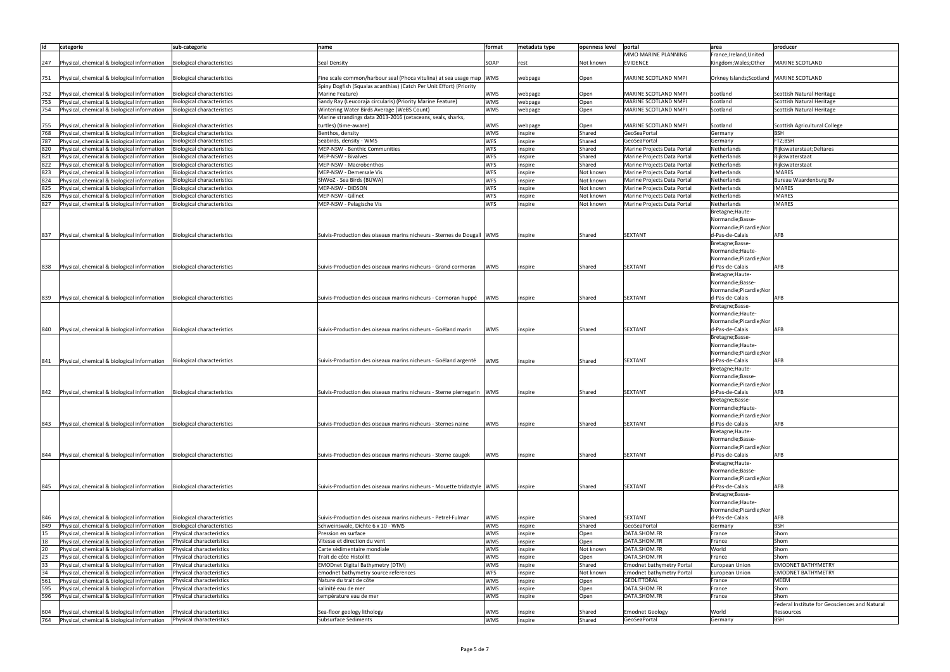| id  | categorie                                                                | sub-categorie                     | name                                                                   | format     | metadata type | openness level | portal                           | area                                       | producer                                      |
|-----|--------------------------------------------------------------------------|-----------------------------------|------------------------------------------------------------------------|------------|---------------|----------------|----------------------------------|--------------------------------------------|-----------------------------------------------|
|     |                                                                          |                                   |                                                                        |            |               |                | MMO MARINE PLANNING              | France;Ireland;United                      |                                               |
|     |                                                                          |                                   |                                                                        |            |               |                |                                  |                                            |                                               |
| 247 | Physical, chemical & biological information                              | <b>Biological characteristics</b> | Seal Density                                                           | SOAP       | rest          | Not known      | <b>EVIDENCE</b>                  | Kingdom; Wales; Other                      | <b>MARINE SCOTLAND</b>                        |
|     |                                                                          |                                   |                                                                        |            |               |                |                                  |                                            |                                               |
| 751 | Physical, chemical & biological information                              | <b>Biological characteristics</b> | Fine scale common/harbour seal (Phoca vitulina) at sea usage map   WMS |            | webpage       | Open           | MARINE SCOTLAND NMPI             | Orkney Islands; Scotland   MARINE SCOTLAND |                                               |
|     |                                                                          |                                   | Spiny Dogfish (Squalas acanthias) (Catch Per Unit Effort) (Priority    |            |               |                |                                  |                                            |                                               |
| 752 | Physical, chemical & biological information                              | <b>Biological characteristics</b> | Marine Feature)                                                        | <b>WMS</b> | webpage       | Open           | MARINE SCOTLAND NMPI             | Scotland                                   | Scottish Natural Heritage                     |
| 753 | Physical, chemical & biological information                              | <b>Biological characteristics</b> | Sandy Ray (Leucoraja circularis) (Priority Marine Feature)             | <b>WMS</b> |               |                | MARINE SCOTLAND NMPI             | Scotland                                   | Scottish Natural Heritage                     |
|     |                                                                          |                                   |                                                                        |            | webpage       | Open           |                                  |                                            |                                               |
| 754 | Physical, chemical & biological information                              | <b>Biological characteristics</b> | Wintering Water Birds Average (WeBS Count)                             | <b>WMS</b> | webpage       | Open           | MARINE SCOTLAND NMPI             | Scotland                                   | Scottish Natural Heritage                     |
|     |                                                                          |                                   | Marine strandings data 2013-2016 (cetaceans, seals, sharks,            |            |               |                |                                  |                                            |                                               |
| 755 | Physical, chemical & biological information                              | <b>Biological characteristics</b> | turtles) (time-aware)                                                  | <b>WMS</b> | webpage       | Open           | MARINE SCOTLAND NMPI             | Scotland                                   | Scottish Agricultural College                 |
| 768 | Physical, chemical & biological information                              | <b>Biological characteristics</b> | Benthos, density                                                       | <b>WMS</b> | inspire       | Shared         | GeoSeaPortal                     | Germany                                    | <b>BSH</b>                                    |
| 787 | Physical, chemical & biological information                              | <b>Biological characteristics</b> | Seabirds, density - WMS                                                | <b>WFS</b> | inspire       | Shared         | GeoSeaPortal                     | Germany                                    | FTZ;BSH                                       |
| 820 | Physical, chemical & biological information                              | <b>Biological characteristics</b> | MEP-NSW - Benthic Communities                                          | <b>WFS</b> | inspire       | Shared         | Marine Projects Data Portal      | Netherlands                                | Rijkswaterstaat; Deltares                     |
| 821 | Physical, chemical & biological information                              | <b>Biological characteristics</b> | MEP-NSW - Bivalves                                                     | <b>WFS</b> | inspire       | Shared         | Marine Projects Data Portal      | Netherlands                                | Rijkswaterstaat                               |
|     |                                                                          |                                   |                                                                        |            |               |                |                                  |                                            |                                               |
| 822 | Physical, chemical & biological information                              | <b>Biological characteristics</b> | MEP-NSW - Macrobenthos                                                 | <b>WFS</b> | inspire       | Shared         | Marine Projects Data Portal      | Netherlands                                | Rijkswaterstaat                               |
| 823 | Physical, chemical & biological information                              | <b>Biological characteristics</b> | MEP-NSW - Demersale Vis                                                | <b>WFS</b> | inspire       | Not known      | Marine Projects Data Portal      | Netherlands                                | <b>IMARES</b>                                 |
| 824 | Physical, chemical & biological information                              | <b>Biological characteristics</b> | ShWoZ - Sea Birds (BUWA)                                               | <b>WFS</b> | inspire       | Not known      | Marine Projects Data Portal      | Netherlands                                | Bureau Waardenburg Bv                         |
| 825 | Physical, chemical & biological information                              | <b>Biological characteristics</b> | MEP-NSW - DIDSON                                                       | <b>WFS</b> | inspire       | Not known      | Marine Projects Data Portal      | Netherlands                                | <b>IMARES</b>                                 |
| 826 | Physical, chemical & biological information                              | <b>Biological characteristics</b> | MEP-NSW - Gillnet                                                      | <b>WFS</b> | inspire       | Not known      | Marine Projects Data Portal      | Netherlands                                | <b>IMARES</b>                                 |
| 827 | Physical, chemical & biological information                              | <b>Biological characteristics</b> | MEP-NSW - Pelagische Vis                                               | <b>WFS</b> | inspire       | Not known      | Marine Projects Data Portal      | Netherlands                                | <b>IMARES</b>                                 |
|     |                                                                          |                                   |                                                                        |            |               |                |                                  | Bretagne; Haute-                           |                                               |
|     |                                                                          |                                   |                                                                        |            |               |                |                                  |                                            |                                               |
|     |                                                                          |                                   |                                                                        |            |               |                |                                  | Normandie;Basse-                           |                                               |
|     |                                                                          |                                   |                                                                        |            |               |                |                                  | Normandie;Picardie;Nor                     |                                               |
| 837 | Physical, chemical & biological information                              | <b>Biological characteristics</b> | Suivis-Production des oiseaux marins nicheurs - Sternes de Dougall WMS |            | inspire       | Shared         | <b>SEXTANT</b>                   | d-Pas-de-Calais                            | AFB                                           |
|     |                                                                          |                                   |                                                                        |            |               |                |                                  | Bretagne;Basse-                            |                                               |
|     |                                                                          |                                   |                                                                        |            |               |                |                                  | Normandie; Haute-                          |                                               |
|     |                                                                          |                                   |                                                                        |            |               |                |                                  | Normandie; Picardie; Nor                   |                                               |
|     |                                                                          |                                   | Suivis-Production des oiseaux marins nicheurs - Grand cormoran         |            |               |                |                                  |                                            |                                               |
| 838 | Physical, chemical & biological information                              | <b>Biological characteristics</b> |                                                                        | WMS        | inspire       | Shared         | <b>SEXTANT</b>                   | d-Pas-de-Calais                            | AFB                                           |
|     |                                                                          |                                   |                                                                        |            |               |                |                                  | Bretagne; Haute-                           |                                               |
|     |                                                                          |                                   |                                                                        |            |               |                |                                  | Normandie;Basse-                           |                                               |
|     |                                                                          |                                   |                                                                        |            |               |                |                                  | Normandie;Picardie;Nor                     |                                               |
| 839 | Physical, chemical & biological information                              | Biological characteristics        | Suivis-Production des oiseaux marins nicheurs - Cormoran huppé         | <b>WMS</b> | inspire       | Shared         | <b>SEXTANT</b>                   | d-Pas-de-Calais                            | AFB                                           |
|     |                                                                          |                                   |                                                                        |            |               |                |                                  | Bretagne; Basse-                           |                                               |
|     |                                                                          |                                   |                                                                        |            |               |                |                                  | Normandie; Haute-                          |                                               |
|     |                                                                          |                                   |                                                                        |            |               |                |                                  |                                            |                                               |
|     |                                                                          |                                   |                                                                        |            |               |                |                                  | Normandie;Picardie;Nor                     |                                               |
| 840 | Physical, chemical & biological information                              | Biological characteristics        | Suivis-Production des oiseaux marins nicheurs - Goéland marin          | <b>WMS</b> | inspire       | Shared         | <b>SEXTANT</b>                   | d-Pas-de-Calais                            | AFB                                           |
|     |                                                                          |                                   |                                                                        |            |               |                |                                  | Bretagne;Basse-                            |                                               |
|     |                                                                          |                                   |                                                                        |            |               |                |                                  | Normandie; Haute-                          |                                               |
|     |                                                                          |                                   |                                                                        |            |               |                |                                  | Normandie;Picardie;Nor                     |                                               |
| 841 | Physical, chemical & biological information                              | <b>Biological characteristics</b> | Suivis-Production des oiseaux marins nicheurs - Goéland argenté        | <b>WMS</b> | inspire       | Shared         | <b>SEXTANT</b>                   | d-Pas-de-Calais                            | <b>AFB</b>                                    |
|     |                                                                          |                                   |                                                                        |            |               |                |                                  | Bretagne; Haute-                           |                                               |
|     |                                                                          |                                   |                                                                        |            |               |                |                                  | Normandie;Basse-                           |                                               |
|     |                                                                          |                                   |                                                                        |            |               |                |                                  | Normandie;Picardie;Nor                     |                                               |
|     |                                                                          |                                   |                                                                        |            |               |                |                                  |                                            |                                               |
| 842 | Physical, chemical & biological information   Biological characteristics |                                   | Suivis-Production des oiseaux marins nicheurs - Sterne pierregarin WMS |            | inspire       | Shared         | <b>SEXTANT</b>                   | d-Pas-de-Calais                            | AFB                                           |
|     |                                                                          |                                   |                                                                        |            |               |                |                                  | Bretagne;Basse-                            |                                               |
|     |                                                                          |                                   |                                                                        |            |               |                |                                  | Normandie; Haute-                          |                                               |
|     |                                                                          |                                   |                                                                        |            |               |                |                                  | Normandie;Picardie;Nor                     |                                               |
| 843 | Physical, chemical & biological information                              | <b>Biological characteristics</b> | Suivis-Production des oiseaux marins nicheurs - Sternes naine          | <b>WMS</b> | inspire       | Shared         | <b>SEXTANT</b>                   | d-Pas-de-Calais                            | <b>AFB</b>                                    |
|     |                                                                          |                                   |                                                                        |            |               |                |                                  | Bretagne; Haute-                           |                                               |
|     |                                                                          |                                   |                                                                        |            |               |                |                                  | Normandie;Basse-                           |                                               |
|     |                                                                          |                                   |                                                                        |            |               |                |                                  |                                            |                                               |
|     |                                                                          |                                   |                                                                        |            |               |                |                                  | Normandie;Picardie;Nor                     |                                               |
| 844 | Physical, chemical & biological information   Biological characteristics |                                   | Suivis-Production des oiseaux marins nicheurs - Sterne caugek          | WMS        | inspire       | Shared         | <b>SEXTANT</b>                   | d-Pas-de-Calais                            | AFB                                           |
|     |                                                                          |                                   |                                                                        |            |               |                |                                  | Bretagne; Haute-                           |                                               |
|     |                                                                          |                                   |                                                                        |            |               |                |                                  | Normandie;Basse-                           |                                               |
|     |                                                                          |                                   |                                                                        |            |               |                |                                  | Normandie; Picardie; Nor                   |                                               |
| 845 | Physical, chemical & biological information                              | Biological characteristics        | Suivis-Production des oiseaux marins nicheurs - Mouette tridactyle WMS |            | inspire       | Shared         | <b>SEXTANT</b>                   | d-Pas-de-Calais                            | <b>AFB</b>                                    |
|     |                                                                          |                                   |                                                                        |            |               |                |                                  | Bretagne; Basse-                           |                                               |
|     |                                                                          |                                   |                                                                        |            |               |                |                                  |                                            |                                               |
|     |                                                                          |                                   |                                                                        |            |               |                |                                  | Normandie; Haute-                          |                                               |
|     |                                                                          |                                   |                                                                        |            |               |                |                                  | Normandie;Picardie;Nor                     |                                               |
| 846 | Physical, chemical & biological information                              | <b>Biological characteristics</b> | Suivis-Production des oiseaux marins nicheurs - Petrel-Fulmar          | WMS        | inspire       | Shared         | <b>SEXTANT</b>                   | d-Pas-de-Calais                            | <b>AFB</b>                                    |
| 849 | Physical, chemical & biological information                              | <b>Biological characteristics</b> | Schweinswale, Dichte 6 x 10 - WMS                                      | WMS        | inspire       | Shared         | GeoSeaPortal                     | Germany                                    | <b>BSH</b>                                    |
| 15  | Physical, chemical & biological information                              | Physical characteristics          | Pression en surface                                                    | WMS        | inspire       | Open           | DATA.SHOM.FR                     | France                                     | Shom                                          |
| 18  | Physical, chemical & biological information                              | Physical characteristics          | Vitesse et direction du vent                                           | <b>WMS</b> | inspire       | Open           | DATA.SHOM.FR                     | France                                     | Shom                                          |
| 20  | Physical, chemical & biological information                              | Physical characteristics          | Carte sédimentaire mondiale                                            | <b>WMS</b> | inspire       | Not known      | DATA.SHOM.FR                     | World                                      | Shom                                          |
| 23  | Physical, chemical & biological information                              | Physical characteristics          | Trait de côte Histolitt                                                | <b>WMS</b> |               | Open           | DATA.SHOM.FR                     | France                                     | Shom                                          |
|     |                                                                          |                                   |                                                                        |            | inspire       |                |                                  |                                            |                                               |
| 33  | Physical, chemical & biological information                              | Physical characteristics          | <b>EMODnet Digital Bathymetry (DTM)</b>                                | <b>WMS</b> | inspire       | Shared         | <b>Emodnet bathymetry Portal</b> | <b>European Union</b>                      | <b>EMODNET BATHYMETRY</b>                     |
| 34  | Physical, chemical & biological information                              | Physical characteristics          | emodnet bathymetry source references                                   | <b>WFS</b> | inspire       | Not known      | <b>Emodnet bathymetry Portal</b> | <b>European Union</b>                      | <b>EMODNET BATHYMETRY</b>                     |
| 561 | Physical, chemical & biological information                              | Physical characteristics          | Nature du trait de côte                                                | <b>WMS</b> | inspire       | Open           | GÉOLITTORAL                      | France                                     | <b>MEEM</b>                                   |
| 595 | Physical, chemical & biological information                              | Physical characteristics          | salinité eau de mer                                                    | <b>WMS</b> | inspire       | Open           | DATA.SHOM.FR                     | France                                     | Shom                                          |
| 596 | Physical, chemical & biological information                              | Physical characteristics          | température eau de mer                                                 | <b>WMS</b> | inspire       | Open           | DATA.SHOM.FR                     | France                                     | Shom                                          |
|     |                                                                          |                                   |                                                                        |            |               |                |                                  |                                            | Federal Institute for Geosciences and Natural |
| 604 | Physical, chemical & biological information                              | Physical characteristics          | Sea-floor geology lithology                                            | WMS        |               | Shared         | <b>Emodnet Geology</b>           | World                                      | Ressources                                    |
|     |                                                                          |                                   |                                                                        |            | inspire       |                |                                  |                                            |                                               |
| 764 | Physical, chemical & biological information                              | Physical characteristics          | Subsurface Sediments                                                   | WMS        | inspire       | Shared         | GeoSeaPortal                     | Germany                                    | <b>BSH</b>                                    |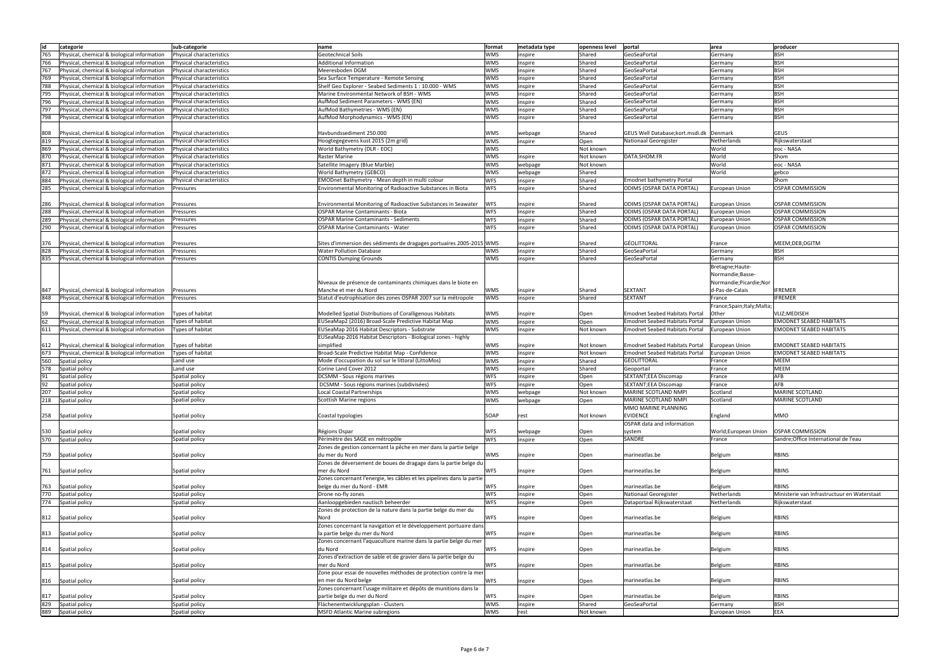| id  | categorie                                   | sub-categorie            | name                                                                   | format     | metadata type | openness level | portal                                | area                      | producer                                    |
|-----|---------------------------------------------|--------------------------|------------------------------------------------------------------------|------------|---------------|----------------|---------------------------------------|---------------------------|---------------------------------------------|
|     |                                             |                          |                                                                        |            |               |                |                                       |                           |                                             |
| 765 | Physical, chemical & biological information | Physical characteristics | Geotechnical Soils                                                     | <b>WMS</b> | inspire       | Shared         | GeoSeaPortal                          | Germany                   | <b>BSH</b>                                  |
| 766 | Physical, chemical & biological information | Physical characteristics | <b>Additional Information</b>                                          | <b>WMS</b> | inspire       | Shared         | GeoSeaPortal                          | Germany                   | BSH                                         |
| 767 | Physical, chemical & biological information | Physical characteristics | Meeresboden DGM                                                        | <b>WMS</b> | inspire       | Shared         | GeoSeaPortal                          | Germany                   | BSH                                         |
| 769 | Physical, chemical & biological information | Physical characteristics | Sea Surface Temperature - Remote Sensing                               | <b>WMS</b> | inspire       | Shared         | GeoSeaPortal                          | Germany                   | <b>BSH</b>                                  |
| 788 | Physical, chemical & biological information | Physical characteristics | Shelf Geo Explorer - Seabed Sediments 1 : 10.000 - WMS                 | <b>WMS</b> | inspire       | Shared         | GeoSeaPortal                          | Germany                   | <b>BSH</b>                                  |
| 795 |                                             | Physical characteristics |                                                                        | <b>WMS</b> |               |                |                                       |                           | <b>BSH</b>                                  |
|     | Physical, chemical & biological information |                          | Marine Environmental Network of BSH - WMS                              |            | inspire       | Shared         | GeoSeaPortal                          | Germany                   |                                             |
| 796 | Physical, chemical & biological information | Physical characteristics | AufMod Sediment Parameters - WMS (EN)                                  | <b>WMS</b> | inspire       | Shared         | GeoSeaPortal                          | Germany                   | <b>BSH</b>                                  |
| 797 | Physical, chemical & biological information | Physical characteristics | AufMod Bathymetries - WMS (EN)                                         | <b>WMS</b> | inspire       | Shared         | GeoSeaPortal                          | Germany                   | <b>BSH</b>                                  |
| 798 | Physical, chemical & biological information | Physical characteristics | AufMod Morphodynamics - WMS (EN)                                       | <b>WMS</b> | inspire       | Shared         | GeoSeaPortal                          | Germany                   | <b>BSH</b>                                  |
|     |                                             |                          |                                                                        |            |               |                |                                       |                           |                                             |
| 808 | Physical, chemical & biological information | Physical characteristics | Havbundssediment 250.000                                               | <b>WMS</b> | webpage       | Shared         | GEUS Well Database; kort.msdi.dk      | Denmark                   | <b>GEUS</b>                                 |
| 819 | Physical, chemical & biological information | Physical characteristics | Hoogtegegevens kust 2015 (2m grid)                                     | <b>WMS</b> | inspire       | Open           | Nationaal Georegister                 | Netherlands               | Rijkswaterstaat                             |
|     |                                             |                          |                                                                        |            |               |                |                                       |                           |                                             |
| 869 | Physical, chemical & biological information | Physical characteristics | World Bathymetry (DLR - EOC)                                           | <b>WMS</b> |               | Not known      |                                       | World                     | eoc - NASA                                  |
| 870 | Physical, chemical & biological information | Physical characteristics | Raster Marine                                                          | <b>WMS</b> | inspire       | Not known      | DATA.SHOM.FR                          | World                     | Shom                                        |
| 871 | Physical, chemical & biological information | Physical characteristics | Satellite Imagery (Blue Marble)                                        | <b>WMS</b> | webpage       | Not known      |                                       | World                     | eoc - NASA                                  |
| 872 | Physical, chemical & biological information | Physical characteristics | World Bathymetry (GEBCO)                                               | <b>WMS</b> | webpage       | Shared         |                                       | World                     | gebco                                       |
| 884 | Physical, chemical & biological information | Physical characteristics | EMODnet Bathymetry - Mean depth in multi colour                        | <b>WFS</b> | inspire       | Shared         | <b>Emodnet bathymetry Portal</b>      |                           | Shom                                        |
| 285 | Physical, chemical & biological information | Pressures                | Environmental Monitoring of Radioactive Substances in Biota            | <b>WFS</b> | inspire       | Shared         | <b>ODIMS (OSPAR DATA PORTAL)</b>      | <b>European Union</b>     | <b>OSPAR COMMISSION</b>                     |
|     |                                             |                          |                                                                        |            |               |                |                                       |                           |                                             |
|     |                                             |                          |                                                                        |            |               |                |                                       |                           |                                             |
| 286 | Physical, chemical & biological information | Pressures                | Environmental Monitoring of Radioactive Substances in Seawater         | <b>WFS</b> | inspire       | Shared         | ODIMS (OSPAR DATA PORTAL)             | European Union            | <b>OSPAR COMMISSION</b>                     |
| 288 | Physical, chemical & biological information | Pressures                | <b>OSPAR Marine Contaminants - Biota</b>                               | <b>WFS</b> | inspire       | Shared         | ODIMS (OSPAR DATA PORTAL)             | <b>European Union</b>     | <b>OSPAR COMMISSION</b>                     |
| 289 | Physical, chemical & biological information | Pressures                | <b>OSPAR Marine Contaminants - Sediments</b>                           | <b>WFS</b> | inspire       | Shared         | ODIMS (OSPAR DATA PORTAL)             | <b>European Union</b>     | <b>OSPAR COMMISSION</b>                     |
| 290 | Physical, chemical & biological information | Pressures                | <b>OSPAR Marine Contaminants - Water</b>                               | <b>WFS</b> | inspire       | Shared         | <b>ODIMS (OSPAR DATA PORTAL)</b>      | European Union            | <b>OSPAR COMMISSION</b>                     |
|     |                                             |                          |                                                                        |            |               |                |                                       |                           |                                             |
| 376 | Physical, chemical & biological information | Pressures                | Sites d'immersion des sédiments de dragages portuaires 2005-2015 WMS   |            | inspire       | Shared         | <b>GÉOLITTORAL</b>                    | France                    | MEEM; DEB; DGITM                            |
| 828 | Physical, chemical & biological information | Pressures                | <b>Water Pollution Database</b>                                        | <b>WMS</b> | inspire       | Shared         | GeoSeaPortal                          | Germany                   | <b>BSH</b>                                  |
| 835 |                                             |                          |                                                                        |            |               | Shared         | GeoSeaPortal                          | Germany                   | <b>BSH</b>                                  |
|     | Physical, chemical & biological information | Pressures                | <b>CONTIS Dumping Grounds</b>                                          | <b>WMS</b> | inspire       |                |                                       |                           |                                             |
|     |                                             |                          |                                                                        |            |               |                |                                       | Bretagne; Haute-          |                                             |
|     |                                             |                          |                                                                        |            |               |                |                                       | Normandie;Basse-          |                                             |
|     |                                             |                          | Niveaux de présence de contaminants chimiques dans le biote en         |            |               |                |                                       | Normandie; Picardie; Nor  |                                             |
| 847 | Physical, chemical & biological information | Pressures                | Manche et mer du Nord                                                  | <b>WMS</b> | inspire       | Shared         | <b>SEXTANT</b>                        | d-Pas-de-Calais           | IFREMER                                     |
| 848 | Physical, chemical & biological information | Pressures                | Statut d'eutrophisation des zones OSPAR 2007 sur la métropole          | <b>WMS</b> | inspire       | Shared         | <b>SEXTANT</b>                        | France                    | <b>IFREMER</b>                              |
|     |                                             |                          |                                                                        |            |               |                |                                       |                           |                                             |
|     |                                             |                          |                                                                        |            |               |                |                                       | France;Spain;Italy;Malta; |                                             |
| 59  | Physical, chemical & biological information | Types of habitat         | Modelled Spatial Distributions of Coralligenous Habitats               | <b>WMS</b> | inspire       | Open           | <b>Emodnet Seabed Habitats Portal</b> | Other                     | VLIZ; MEDISEH                               |
| 62  | Physical, chemical & biological information | Types of habitat         | EUSeaMap2 (2016) Broad-Scale Predictive Habitat Map                    | <b>WMS</b> | inspire       | Open           | <b>Emodnet Seabed Habitats Portal</b> | European Union            | <b>EMODNET SEABED HABITATS</b>              |
| 611 | Physical, chemical & biological information | Types of habitat         | EUSeaMap 2016 Habitat Descriptors - Substrate                          | <b>WMS</b> | inspire       | Not known      | <b>Emodnet Seabed Habitats Portal</b> | European Union            | <b>EMODNET SEABED HABITATS</b>              |
|     |                                             |                          | EUSeaMap 2016 Habitat Descriptors - Biological zones - highly          |            |               |                |                                       |                           |                                             |
| 612 | Physical, chemical & biological information | Types of habitat         | simplified                                                             | <b>WMS</b> | inspire       | Not known      | <b>Emodnet Seabed Habitats Portal</b> | European Union            | <b>EMODNET SEABED HABITATS</b>              |
| 673 | Physical, chemical & biological information | Types of habitat         | Broad-Scale Predictive Habitat Map - Confidence                        | <b>WMS</b> | inspire       | Not known      | <b>Emodnet Seabed Habitats Portal</b> | <b>European Union</b>     | <b>EMODNET SEABED HABITATS</b>              |
|     |                                             |                          |                                                                        |            |               |                |                                       |                           |                                             |
| 560 | Spatial policy                              | Land use                 | Mode d'occupation du sol sur le littoral (LittoMos)                    | <b>WMS</b> | inspire       | Shared         | GÉOLITTORAL                           | France                    | <b>MEEM</b>                                 |
| 578 | Spatial policy                              | Land use                 | Corine Land Cover 2012                                                 | <b>WMS</b> | inspire       | Shared         | Geoportail                            | France                    | <b>MEEM</b>                                 |
| 91  | Spatial policy                              | Spatial policy           | DCSMM - Sous régions marines                                           | <b>WFS</b> | inspire       | Open           | SEXTANT; EEA Discomap                 | France                    | AFB                                         |
| 92  | Spatial policy                              | Spatial policy           | DCSMM - Sous régions marines (subdivisées)                             | <b>WFS</b> | inspire       | Open           | <b>SEXTANT; EEA Discomap</b>          | France                    | AFB                                         |
| 207 | Spatial policy                              | Spatial policy           | Local Coastal Partnerships                                             | <b>WMS</b> | webpage       | Not known      | MARINE SCOTLAND NMPI                  | Scotland                  | MARINE SCOTLAND                             |
| 218 | Spatial policy                              | Spatial policy           | Scottish Marine regions                                                | WMS        | webpage       | Open           | MARINE SCOTLAND NMPI                  | Scotland                  | MARINE SCOTLAND                             |
|     |                                             |                          |                                                                        |            |               |                | MMO MARINE PLANNING                   |                           |                                             |
|     |                                             |                          |                                                                        |            |               |                |                                       |                           |                                             |
| 258 | Spatial policy                              | Spatial policy           | Coastal typologies                                                     | SOAP       | rest          | Not known      | <b>EVIDENCE</b>                       | England                   | MMO                                         |
|     |                                             |                          |                                                                        |            |               |                | OSPAR data and information            |                           |                                             |
| 530 | Spatial policy                              | Spatial policy           | Régions Ospar                                                          | <b>WFS</b> | webpage       | Open           | system                                | World; European Union     | <b>OSPAR COMMISSION</b>                     |
| 570 | Spatial policy                              | Spatial policy           | Périmètre des SAGE en métropôle                                        | <b>WFS</b> | inspire       | Open           | SANDRE                                | France                    | Sandre: Office International de l'eau       |
|     |                                             |                          | Zones de gestion concernant la pêche en mer dans la partie belge       |            |               |                |                                       |                           |                                             |
| 759 | Spatial policy                              | Spatial policy           | du mer du Nord                                                         | <b>WMS</b> | inspire       | Open           | marineatlas.be                        | Belgium                   | <b>RBINS</b>                                |
|     |                                             |                          | Zones de déversement de boues de dragage dans la partie belge du       |            |               |                |                                       |                           |                                             |
|     | 761 Spatial policy                          | Spatial policy           | mer du Nord                                                            | <b>WFS</b> | inspire       | Open           | marineatlas.be                        | Belgium                   | <b>RBINS</b>                                |
|     |                                             |                          | Zones concernant l'energie, les câbles et les pipelines dans la partie |            |               |                |                                       |                           |                                             |
|     |                                             |                          |                                                                        |            |               |                |                                       |                           |                                             |
| 763 | Spatial policy                              | Spatial policy           | belge du mer du Nord - EMR                                             | <b>WFS</b> | inspire       | Open           | marineatlas.be                        | Belgium                   | <b>RBINS</b>                                |
| 770 | Spatial policy                              | Spatial policy           | Drone no-fly zones                                                     | <b>WFS</b> | inspire       | Open           | Nationaal Georegister                 | Netherlands               | Ministerie van Infrastructuur en Waterstaat |
| 774 | Spatial policy                              | Spatial policy           | Aanloopgebieden nautisch beheerder                                     | <b>WFS</b> | inspire       | Open           | Dataportaal Rijkswaterstaat           | Netherlands               | Rijkswaterstaat                             |
|     |                                             |                          | Zones de protection de la nature dans la partie belge du mer du        |            |               |                |                                       |                           |                                             |
| 812 | Spatial policy                              | Spatial policy           | Nord                                                                   | <b>WFS</b> | inspire       | Open           | marineatlas.be                        | Belgium                   | <b>RBINS</b>                                |
|     |                                             |                          | Zones concernant la navigation et le développement portuaire dans      |            |               |                |                                       |                           |                                             |
| 813 | Spatial policy                              | Spatial policy           | la partie belge du mer du Nord                                         | <b>WFS</b> | inspire       | Open           | marineatlas.be                        | Belgium                   | <b>RBINS</b>                                |
|     |                                             |                          | Zones concernant l'aquaculture marine dans la partie belge du mer      |            |               |                |                                       |                           |                                             |
|     |                                             |                          |                                                                        |            |               |                |                                       |                           |                                             |
| 814 | Spatial policy                              | Spatial policy           | du Nord                                                                | <b>WFS</b> | inspire       | Open           | marineatlas.be                        | Belgium                   | <b>RBINS</b>                                |
|     |                                             |                          | Zones d'extraction de sable et de gravier dans la partie belge du      |            |               |                |                                       |                           |                                             |
| 815 | Spatial policy                              | Spatial policy           | mer du Nord                                                            | <b>WFS</b> | inspire       | Open           | marineatlas.be                        | Belgium                   | <b>RBINS</b>                                |
|     |                                             |                          | Zone pour essai de nouvelles méthodes de protection contre la mer      |            |               |                |                                       |                           |                                             |
| 816 | Spatial policy                              | Spatial policy           | en mer du Nord belge                                                   | <b>WFS</b> | inspire       | Open           | marineatlas.be                        | Belgium                   | <b>RBINS</b>                                |
|     |                                             |                          | Zones concernant l'usage militaire et dépôts de munitions dans la      |            |               |                |                                       |                           |                                             |
| 817 | Spatial policy                              | Spatial policy           | partie belge du mer du Nord                                            | <b>WFS</b> | inspire       | Open           | marineatlas.be                        | Belgium                   | <b>RBINS</b>                                |
|     |                                             |                          |                                                                        | <b>WMS</b> |               |                |                                       |                           |                                             |
| 829 | Spatial policy                              | Spatial policy           | Flächenentwicklungsplan - Clusters                                     |            | inspire       | Shared         | GeoSeaPortal                          | Germany                   | <b>BSH</b>                                  |
| 889 | Spatial policy                              | Spatial policy           | <b>MSFD Atlantic Marine subregions</b>                                 | WMS        | rest          | Not known      |                                       | <b>European Union</b>     | EEA                                         |